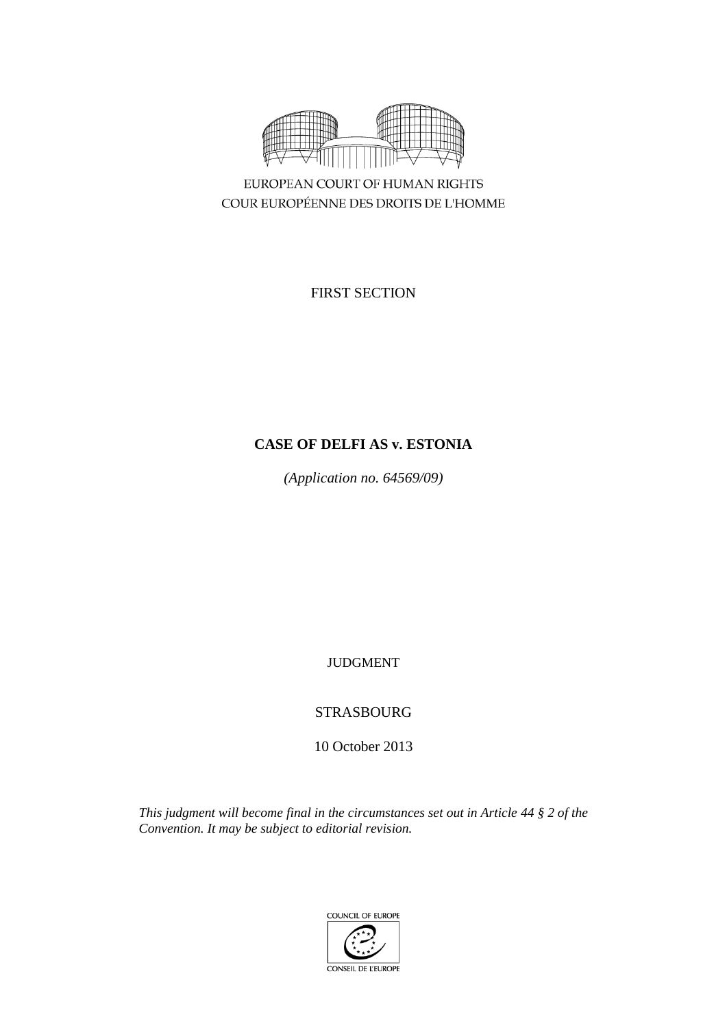

EUROPEAN COURT OF HUMAN RIGHTS COUR EUROPÉENNE DES DROITS DE L'HOMME

FIRST SECTION

# **CASE OF DELFI AS v. ESTONIA**

*(Application no. 64569/09)*

JUDGMENT

STRASBOURG

10 October 2013

*This judgment will become final in the circumstances set out in Article 44 § 2 of the Convention. It may be subject to editorial revision.*

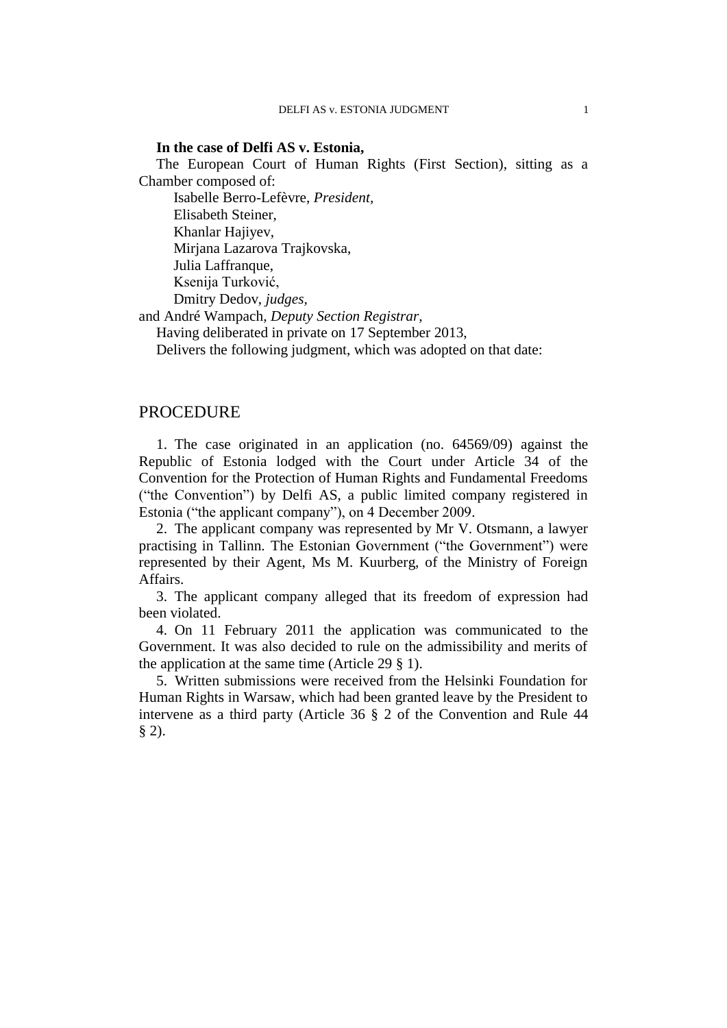## **In the case of Delfi AS v. Estonia,**

The European Court of Human Rights (First Section), sitting as a Chamber composed of:

Isabelle Berro-Lefèvre, *President,*

Elisabeth Steiner,

Khanlar Hajiyev,

Mirjana Lazarova Trajkovska,

Julia Laffranque,

Ksenija Turković,

Dmitry Dedov, *judges,*

and André Wampach, *Deputy Section Registrar,*

Having deliberated in private on 17 September 2013,

Delivers the following judgment, which was adopted on that date:

# PROCEDURE

1. The case originated in an application (no. 64569/09) against the Republic of Estonia lodged with the Court under Article 34 of the Convention for the Protection of Human Rights and Fundamental Freedoms ("the Convention") by Delfi AS, a public limited company registered in Estonia ("the applicant company"), on 4 December 2009.

2. The applicant company was represented by Mr V. Otsmann, a lawyer practising in Tallinn. The Estonian Government ("the Government") were represented by their Agent, Ms M. Kuurberg, of the Ministry of Foreign Affairs.

3. The applicant company alleged that its freedom of expression had been violated.

4. On 11 February 2011 the application was communicated to the Government. It was also decided to rule on the admissibility and merits of the application at the same time (Article 29 § 1).

5. Written submissions were received from the Helsinki Foundation for Human Rights in Warsaw, which had been granted leave by the President to intervene as a third party (Article 36 § 2 of the Convention and Rule 44 § 2).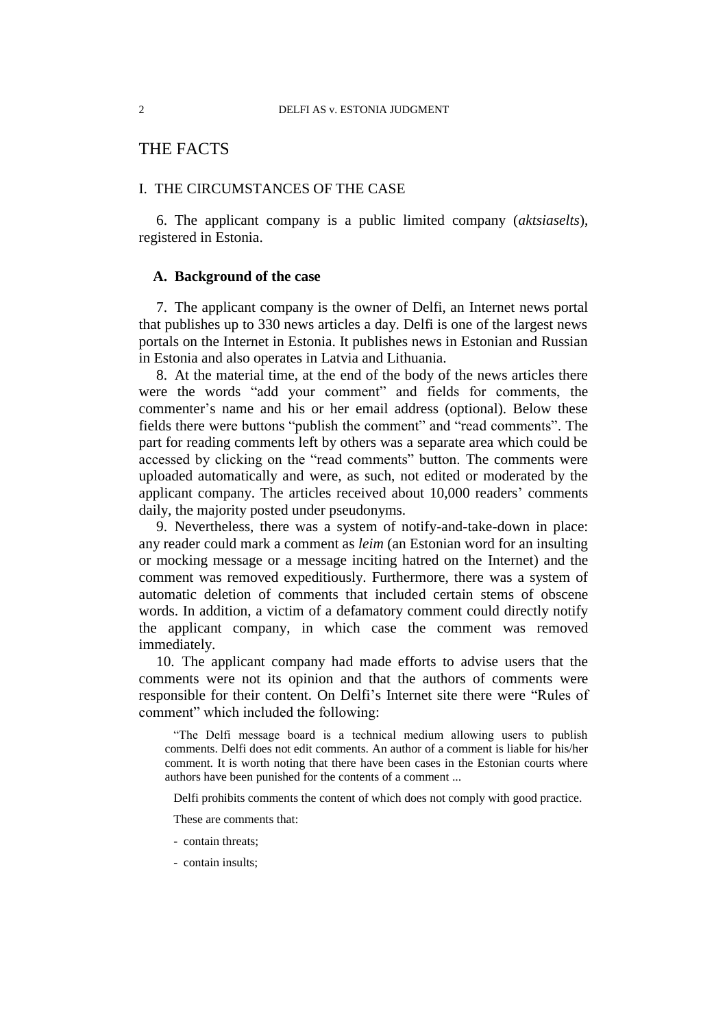# THE FACTS

# I. THE CIRCUMSTANCES OF THE CASE

6. The applicant company is a public limited company (*aktsiaselts*), registered in Estonia.

# **A. Background of the case**

7. The applicant company is the owner of Delfi, an Internet news portal that publishes up to 330 news articles a day. Delfi is one of the largest news portals on the Internet in Estonia. It publishes news in Estonian and Russian in Estonia and also operates in Latvia and Lithuania.

8. At the material time, at the end of the body of the news articles there were the words "add your comment" and fields for comments, the commenter's name and his or her email address (optional). Below these fields there were buttons "publish the comment" and "read comments". The part for reading comments left by others was a separate area which could be accessed by clicking on the "read comments" button. The comments were uploaded automatically and were, as such, not edited or moderated by the applicant company. The articles received about 10,000 readers' comments daily, the majority posted under pseudonyms.

9. Nevertheless, there was a system of notify-and-take-down in place: any reader could mark a comment as *leim* (an Estonian word for an insulting or mocking message or a message inciting hatred on the Internet) and the comment was removed expeditiously. Furthermore, there was a system of automatic deletion of comments that included certain stems of obscene words. In addition, a victim of a defamatory comment could directly notify the applicant company, in which case the comment was removed immediately.

10. The applicant company had made efforts to advise users that the comments were not its opinion and that the authors of comments were responsible for their content. On Delfi's Internet site there were "Rules of comment" which included the following:

"The Delfi message board is a technical medium allowing users to publish comments. Delfi does not edit comments. An author of a comment is liable for his/her comment. It is worth noting that there have been cases in the Estonian courts where authors have been punished for the contents of a comment ...

Delfi prohibits comments the content of which does not comply with good practice.

These are comments that:

- contain threats;
- contain insults;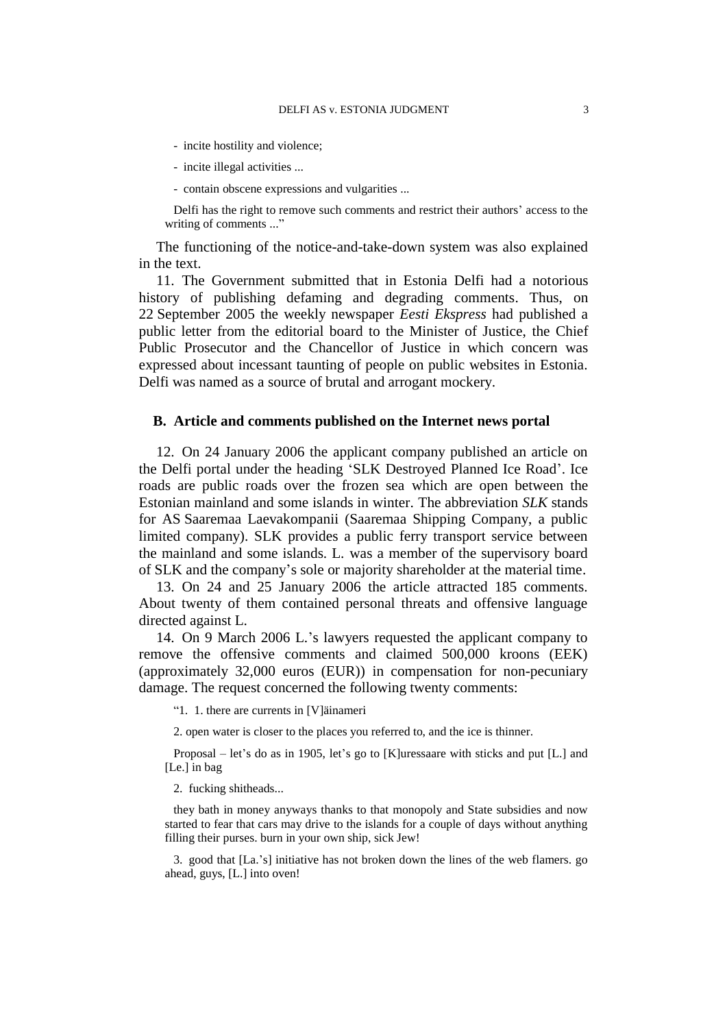- incite hostility and violence;
- incite illegal activities ...
- contain obscene expressions and vulgarities ...

Delfi has the right to remove such comments and restrict their authors' access to the writing of comments ..."

The functioning of the notice-and-take-down system was also explained in the text.

11. The Government submitted that in Estonia Delfi had a notorious history of publishing defaming and degrading comments. Thus, on 22 September 2005 the weekly newspaper *Eesti Ekspress* had published a public letter from the editorial board to the Minister of Justice, the Chief Public Prosecutor and the Chancellor of Justice in which concern was expressed about incessant taunting of people on public websites in Estonia. Delfi was named as a source of brutal and arrogant mockery.

# **B. Article and comments published on the Internet news portal**

12. On 24 January 2006 the applicant company published an article on the Delfi portal under the heading 'SLK Destroyed Planned Ice Road'. Ice roads are public roads over the frozen sea which are open between the Estonian mainland and some islands in winter. The abbreviation *SLK* stands for AS Saaremaa Laevakompanii (Saaremaa Shipping Company, a public limited company). SLK provides a public ferry transport service between the mainland and some islands. L. was a member of the supervisory board of SLK and the company's sole or majority shareholder at the material time.

13. On 24 and 25 January 2006 the article attracted 185 comments. About twenty of them contained personal threats and offensive language directed against L.

14. On 9 March 2006 L.'s lawyers requested the applicant company to remove the offensive comments and claimed 500,000 kroons (EEK) (approximately 32,000 euros (EUR)) in compensation for non-pecuniary damage. The request concerned the following twenty comments:

"1. 1. there are currents in [V]äinameri

2. open water is closer to the places you referred to, and the ice is thinner.

Proposal – let's do as in 1905, let's go to [K]uressaare with sticks and put [L.] and [Le.] in bag

2. fucking shitheads...

they bath in money anyways thanks to that monopoly and State subsidies and now started to fear that cars may drive to the islands for a couple of days without anything filling their purses. burn in your own ship, sick Jew!

3. good that [La.'s] initiative has not broken down the lines of the web flamers. go ahead, guys, [L.] into oven!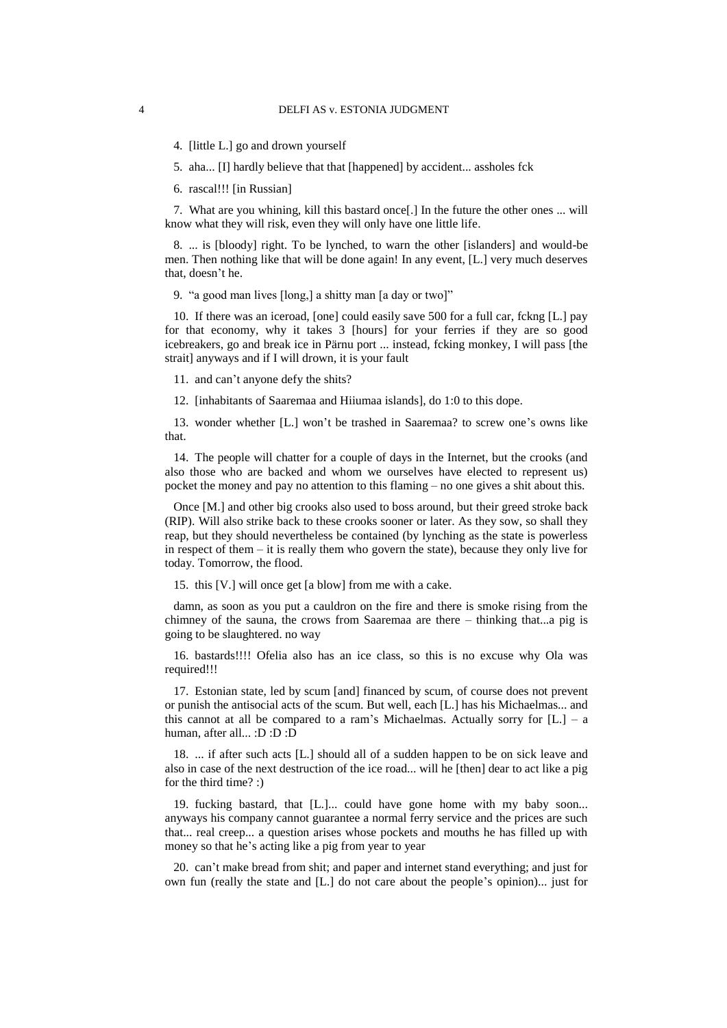4. [little L.] go and drown yourself

5. aha... [I] hardly believe that that [happened] by accident... assholes fck

6. rascal!!! [in Russian]

7. What are you whining, kill this bastard once[.] In the future the other ones ... will know what they will risk, even they will only have one little life.

8. ... is [bloody] right. To be lynched, to warn the other [islanders] and would-be men. Then nothing like that will be done again! In any event, [L.] very much deserves that, doesn't he.

9. "a good man lives [long,] a shitty man [a day or two]"

10. If there was an iceroad, [one] could easily save 500 for a full car, fckng [L.] pay for that economy, why it takes 3 [hours] for your ferries if they are so good icebreakers, go and break ice in Pärnu port ... instead, fcking monkey, I will pass [the strait] anyways and if I will drown, it is your fault

11. and can't anyone defy the shits?

12. [inhabitants of Saaremaa and Hiiumaa islands], do 1:0 to this dope.

13. wonder whether [L.] won't be trashed in Saaremaa? to screw one's owns like that.

14. The people will chatter for a couple of days in the Internet, but the crooks (and also those who are backed and whom we ourselves have elected to represent us) pocket the money and pay no attention to this flaming – no one gives a shit about this.

Once [M.] and other big crooks also used to boss around, but their greed stroke back (RIP). Will also strike back to these crooks sooner or later. As they sow, so shall they reap, but they should nevertheless be contained (by lynching as the state is powerless in respect of them – it is really them who govern the state), because they only live for today. Tomorrow, the flood.

15. this [V.] will once get [a blow] from me with a cake.

damn, as soon as you put a cauldron on the fire and there is smoke rising from the chimney of the sauna, the crows from Saaremaa are there – thinking that...a pig is going to be slaughtered. no way

16. bastards!!!! Ofelia also has an ice class, so this is no excuse why Ola was required!!!

17. Estonian state, led by scum [and] financed by scum, of course does not prevent or punish the antisocial acts of the scum. But well, each [L.] has his Michaelmas... and this cannot at all be compared to a ram's Michaelmas. Actually sorry for  $[L]$  – a human, after all... :D :D :D

18. ... if after such acts [L.] should all of a sudden happen to be on sick leave and also in case of the next destruction of the ice road... will he [then] dear to act like a pig for the third time? :)

19. fucking bastard, that [L.]... could have gone home with my baby soon... anyways his company cannot guarantee a normal ferry service and the prices are such that... real creep... a question arises whose pockets and mouths he has filled up with money so that he's acting like a pig from year to year

20. can't make bread from shit; and paper and internet stand everything; and just for own fun (really the state and [L.] do not care about the people's opinion)... just for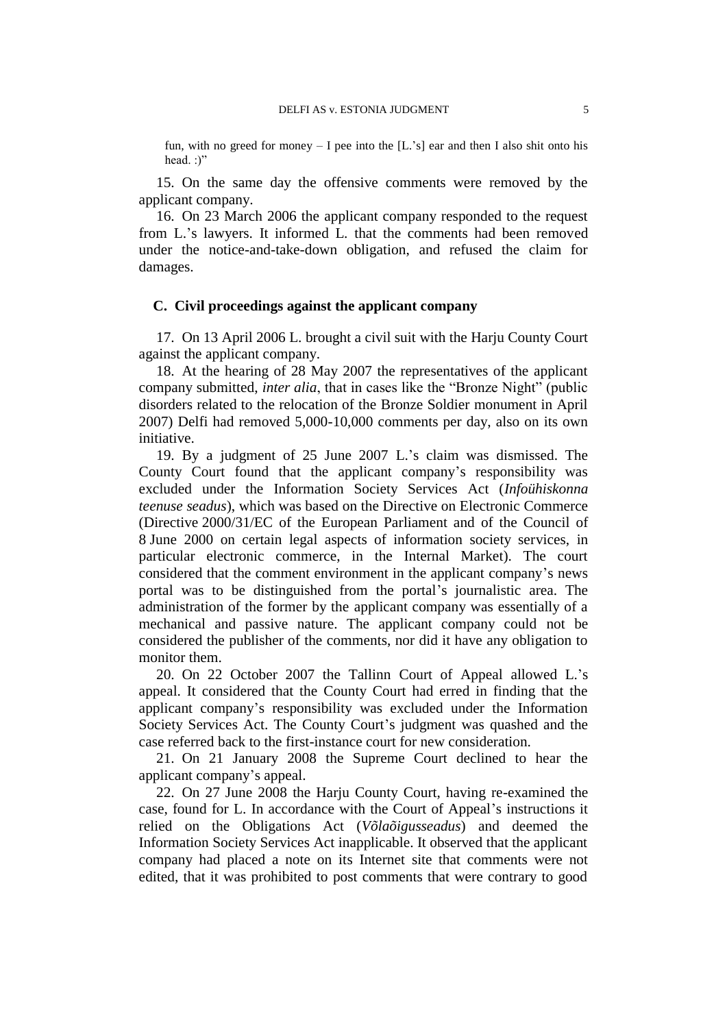fun, with no greed for money  $- I$  pee into the  $[L, s]$  ear and then I also shit onto his head. :)"

15. On the same day the offensive comments were removed by the applicant company.

16. On 23 March 2006 the applicant company responded to the request from L.'s lawyers. It informed L. that the comments had been removed under the notice-and-take-down obligation, and refused the claim for damages.

### **C. Civil proceedings against the applicant company**

17. On 13 April 2006 L. brought a civil suit with the Harju County Court against the applicant company.

18. At the hearing of 28 May 2007 the representatives of the applicant company submitted, *inter alia*, that in cases like the "Bronze Night" (public disorders related to the relocation of the Bronze Soldier monument in April 2007) Delfi had removed 5,000-10,000 comments per day, also on its own initiative.

19. By a judgment of 25 June 2007 L.'s claim was dismissed. The County Court found that the applicant company's responsibility was excluded under the Information Society Services Act (*Infoühiskonna teenuse seadus*), which was based on the Directive on Electronic Commerce (Directive 2000/31/EC of the European Parliament and of the Council of 8 June 2000 on certain legal aspects of information society services, in particular electronic commerce, in the Internal Market). The court considered that the comment environment in the applicant company's news portal was to be distinguished from the portal's journalistic area. The administration of the former by the applicant company was essentially of a mechanical and passive nature. The applicant company could not be considered the publisher of the comments, nor did it have any obligation to monitor them.

20. On 22 October 2007 the Tallinn Court of Appeal allowed L.'s appeal. It considered that the County Court had erred in finding that the applicant company's responsibility was excluded under the Information Society Services Act. The County Court's judgment was quashed and the case referred back to the first-instance court for new consideration.

21. On 21 January 2008 the Supreme Court declined to hear the applicant company's appeal.

22. On 27 June 2008 the Harju County Court, having re-examined the case, found for L. In accordance with the Court of Appeal's instructions it relied on the Obligations Act (*Võlaõigusseadus*) and deemed the Information Society Services Act inapplicable. It observed that the applicant company had placed a note on its Internet site that comments were not edited, that it was prohibited to post comments that were contrary to good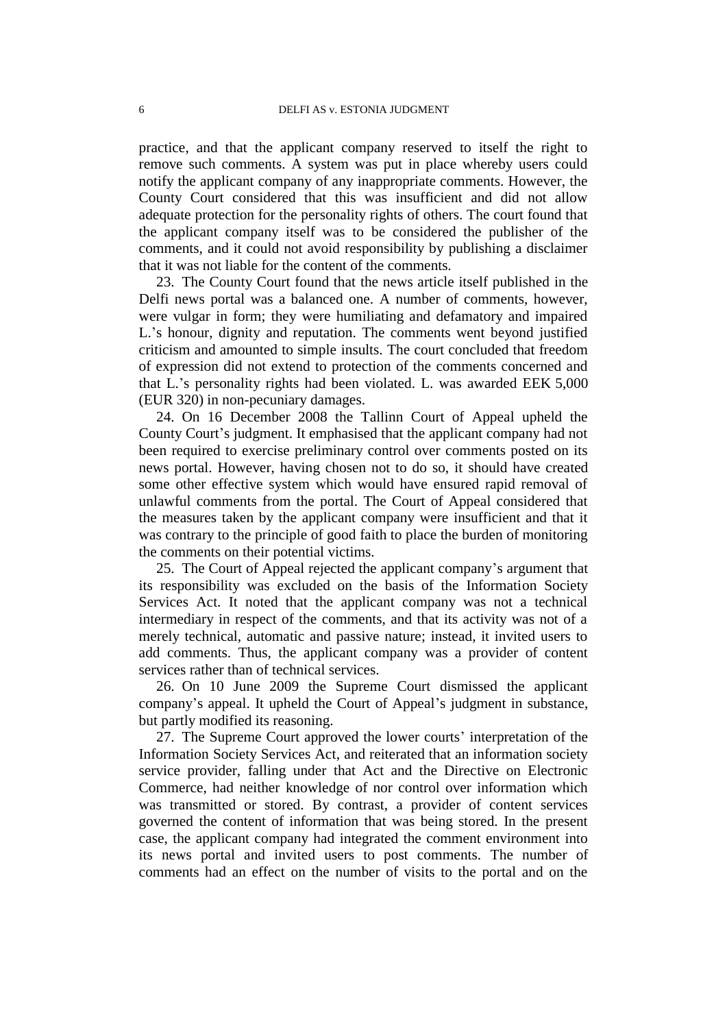practice, and that the applicant company reserved to itself the right to remove such comments. A system was put in place whereby users could notify the applicant company of any inappropriate comments. However, the County Court considered that this was insufficient and did not allow adequate protection for the personality rights of others. The court found that the applicant company itself was to be considered the publisher of the comments, and it could not avoid responsibility by publishing a disclaimer that it was not liable for the content of the comments.

23. The County Court found that the news article itself published in the Delfi news portal was a balanced one. A number of comments, however, were vulgar in form; they were humiliating and defamatory and impaired L.'s honour, dignity and reputation. The comments went beyond justified criticism and amounted to simple insults. The court concluded that freedom of expression did not extend to protection of the comments concerned and that L.'s personality rights had been violated. L. was awarded EEK 5,000 (EUR 320) in non-pecuniary damages.

24. On 16 December 2008 the Tallinn Court of Appeal upheld the County Court's judgment. It emphasised that the applicant company had not been required to exercise preliminary control over comments posted on its news portal. However, having chosen not to do so, it should have created some other effective system which would have ensured rapid removal of unlawful comments from the portal. The Court of Appeal considered that the measures taken by the applicant company were insufficient and that it was contrary to the principle of good faith to place the burden of monitoring the comments on their potential victims.

25. The Court of Appeal rejected the applicant company's argument that its responsibility was excluded on the basis of the Information Society Services Act. It noted that the applicant company was not a technical intermediary in respect of the comments, and that its activity was not of a merely technical, automatic and passive nature; instead, it invited users to add comments. Thus, the applicant company was a provider of content services rather than of technical services.

26. On 10 June 2009 the Supreme Court dismissed the applicant company's appeal. It upheld the Court of Appeal's judgment in substance, but partly modified its reasoning.

27. The Supreme Court approved the lower courts' interpretation of the Information Society Services Act, and reiterated that an information society service provider, falling under that Act and the Directive on Electronic Commerce, had neither knowledge of nor control over information which was transmitted or stored. By contrast, a provider of content services governed the content of information that was being stored. In the present case, the applicant company had integrated the comment environment into its news portal and invited users to post comments. The number of comments had an effect on the number of visits to the portal and on the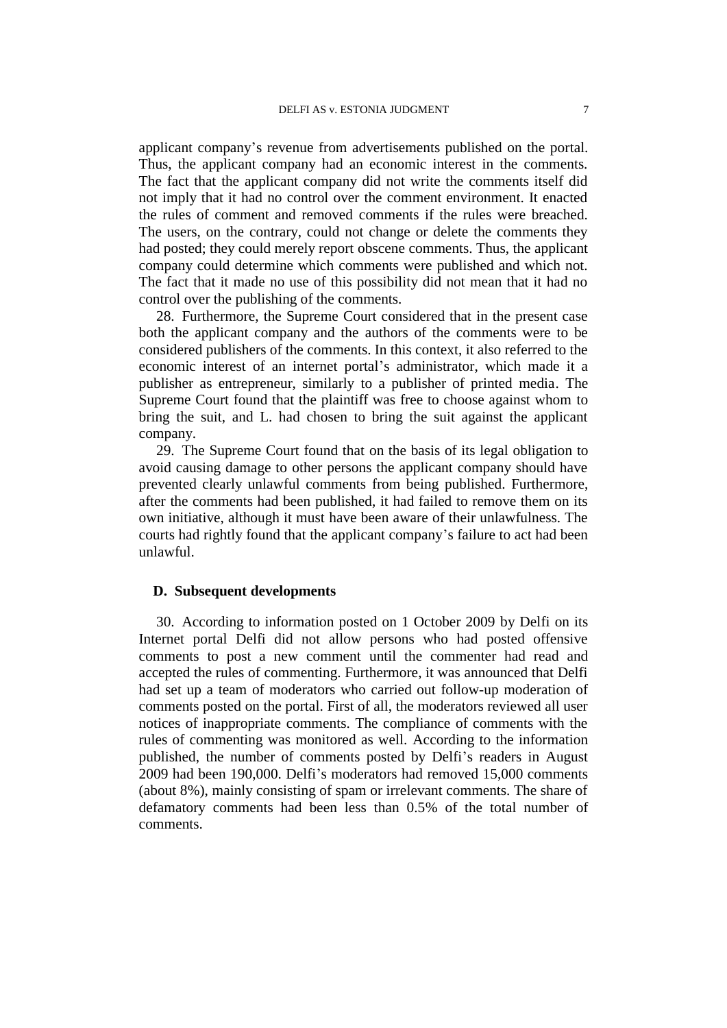applicant company's revenue from advertisements published on the portal. Thus, the applicant company had an economic interest in the comments. The fact that the applicant company did not write the comments itself did not imply that it had no control over the comment environment. It enacted the rules of comment and removed comments if the rules were breached. The users, on the contrary, could not change or delete the comments they had posted; they could merely report obscene comments. Thus, the applicant company could determine which comments were published and which not. The fact that it made no use of this possibility did not mean that it had no control over the publishing of the comments.

28. Furthermore, the Supreme Court considered that in the present case both the applicant company and the authors of the comments were to be considered publishers of the comments. In this context, it also referred to the economic interest of an internet portal's administrator, which made it a publisher as entrepreneur, similarly to a publisher of printed media. The Supreme Court found that the plaintiff was free to choose against whom to bring the suit, and L. had chosen to bring the suit against the applicant company.

29. The Supreme Court found that on the basis of its legal obligation to avoid causing damage to other persons the applicant company should have prevented clearly unlawful comments from being published. Furthermore, after the comments had been published, it had failed to remove them on its own initiative, although it must have been aware of their unlawfulness. The courts had rightly found that the applicant company's failure to act had been unlawful.

# **D. Subsequent developments**

30. According to information posted on 1 October 2009 by Delfi on its Internet portal Delfi did not allow persons who had posted offensive comments to post a new comment until the commenter had read and accepted the rules of commenting. Furthermore, it was announced that Delfi had set up a team of moderators who carried out follow-up moderation of comments posted on the portal. First of all, the moderators reviewed all user notices of inappropriate comments. The compliance of comments with the rules of commenting was monitored as well. According to the information published, the number of comments posted by Delfi's readers in August 2009 had been 190,000. Delfi's moderators had removed 15,000 comments (about 8%), mainly consisting of spam or irrelevant comments. The share of defamatory comments had been less than 0.5% of the total number of comments.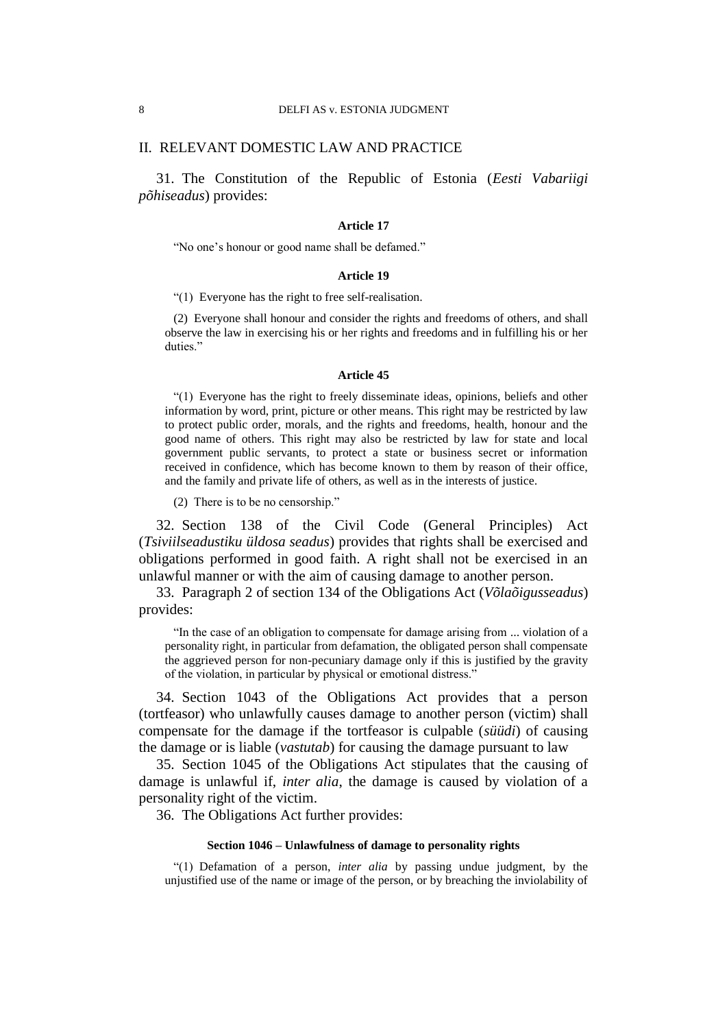# II. RELEVANT DOMESTIC LAW AND PRACTICE

<span id="page-9-1"></span>31. The Constitution of the Republic of Estonia (*Eesti Vabariigi põhiseadus*) provides:

#### **Article 17**

"No one's honour or good name shall be defamed."

### **Article 19**

"(1) Everyone has the right to free self-realisation.

(2) Everyone shall honour and consider the rights and freedoms of others, and shall observe the law in exercising his or her rights and freedoms and in fulfilling his or her duties."

#### **Article 45**

"(1) Everyone has the right to freely disseminate ideas, opinions, beliefs and other information by word, print, picture or other means. This right may be restricted by law to protect public order, morals, and the rights and freedoms, health, honour and the good name of others. This right may also be restricted by law for state and local government public servants, to protect a state or business secret or information received in confidence, which has become known to them by reason of their office, and the family and private life of others, as well as in the interests of justice.

(2) There is to be no censorship."

32. Section 138 of the Civil Code (General Principles) Act (*Tsiviilseadustiku üldosa seadus*) provides that rights shall be exercised and obligations performed in good faith. A right shall not be exercised in an unlawful manner or with the aim of causing damage to another person.

33. Paragraph 2 of section 134 of the Obligations Act (*Võlaõigusseadus*) provides:

"In the case of an obligation to compensate for damage arising from ... violation of a personality right, in particular from defamation, the obligated person shall compensate the aggrieved person for non-pecuniary damage only if this is justified by the gravity of the violation, in particular by physical or emotional distress."

34. Section 1043 of the Obligations Act provides that a person (tortfeasor) who unlawfully causes damage to another person (victim) shall compensate for the damage if the tortfeasor is culpable (*süüdi*) of causing the damage or is liable (*vastutab*) for causing the damage pursuant to law

35. Section 1045 of the Obligations Act stipulates that the causing of damage is unlawful if, *inter alia*, the damage is caused by violation of a personality right of the victim.

<span id="page-9-0"></span>36. The Obligations Act further provides:

#### **Section 1046 – Unlawfulness of damage to personality rights**

"(1) Defamation of a person, *inter alia* by passing undue judgment, by the unjustified use of the name or image of the person, or by breaching the inviolability of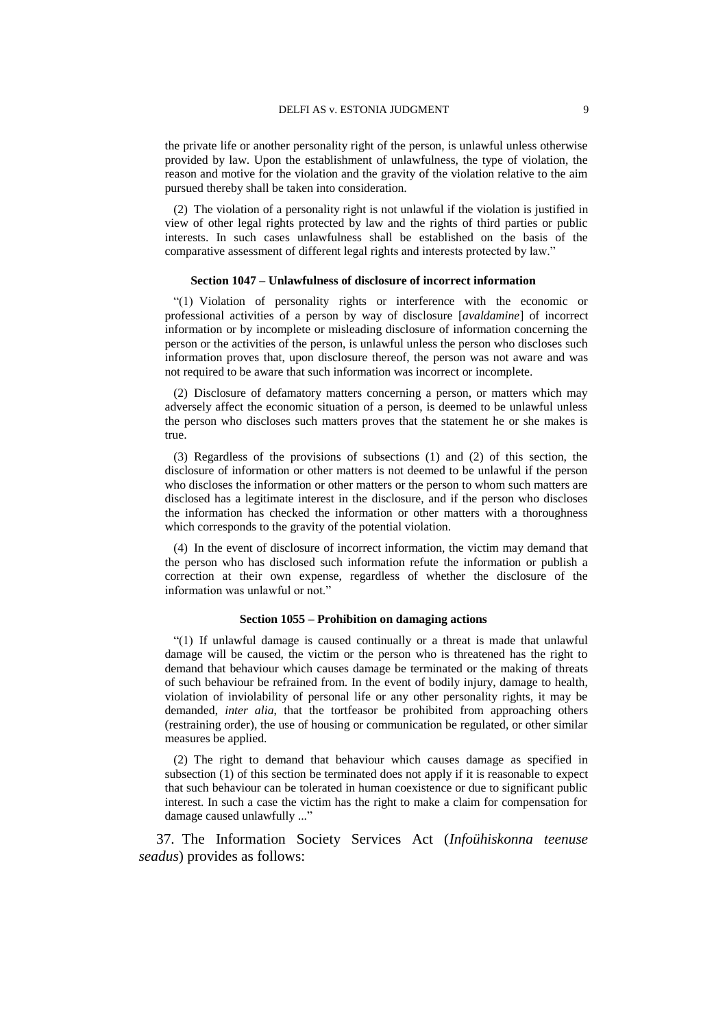the private life or another personality right of the person, is unlawful unless otherwise provided by law. Upon the establishment of unlawfulness, the type of violation, the reason and motive for the violation and the gravity of the violation relative to the aim pursued thereby shall be taken into consideration.

(2) The violation of a personality right is not unlawful if the violation is justified in view of other legal rights protected by law and the rights of third parties or public interests. In such cases unlawfulness shall be established on the basis of the comparative assessment of different legal rights and interests protected by law."

#### **Section 1047 – Unlawfulness of disclosure of incorrect information**

"(1) Violation of personality rights or interference with the economic or professional activities of a person by way of disclosure [*avaldamine*] of incorrect information or by incomplete or misleading disclosure of information concerning the person or the activities of the person, is unlawful unless the person who discloses such information proves that, upon disclosure thereof, the person was not aware and was not required to be aware that such information was incorrect or incomplete.

(2) Disclosure of defamatory matters concerning a person, or matters which may adversely affect the economic situation of a person, is deemed to be unlawful unless the person who discloses such matters proves that the statement he or she makes is true.

(3) Regardless of the provisions of subsections (1) and (2) of this section, the disclosure of information or other matters is not deemed to be unlawful if the person who discloses the information or other matters or the person to whom such matters are disclosed has a legitimate interest in the disclosure, and if the person who discloses the information has checked the information or other matters with a thoroughness which corresponds to the gravity of the potential violation.

(4) In the event of disclosure of incorrect information, the victim may demand that the person who has disclosed such information refute the information or publish a correction at their own expense, regardless of whether the disclosure of the information was unlawful or not."

### **Section 1055 – Prohibition on damaging actions**

"(1) If unlawful damage is caused continually or a threat is made that unlawful damage will be caused, the victim or the person who is threatened has the right to demand that behaviour which causes damage be terminated or the making of threats of such behaviour be refrained from. In the event of bodily injury, damage to health, violation of inviolability of personal life or any other personality rights, it may be demanded, *inter alia*, that the tortfeasor be prohibited from approaching others (restraining order), the use of housing or communication be regulated, or other similar measures be applied.

(2) The right to demand that behaviour which causes damage as specified in subsection (1) of this section be terminated does not apply if it is reasonable to expect that such behaviour can be tolerated in human coexistence or due to significant public interest. In such a case the victim has the right to make a claim for compensation for damage caused unlawfully ..."

37. The Information Society Services Act (*Infoühiskonna teenuse seadus*) provides as follows: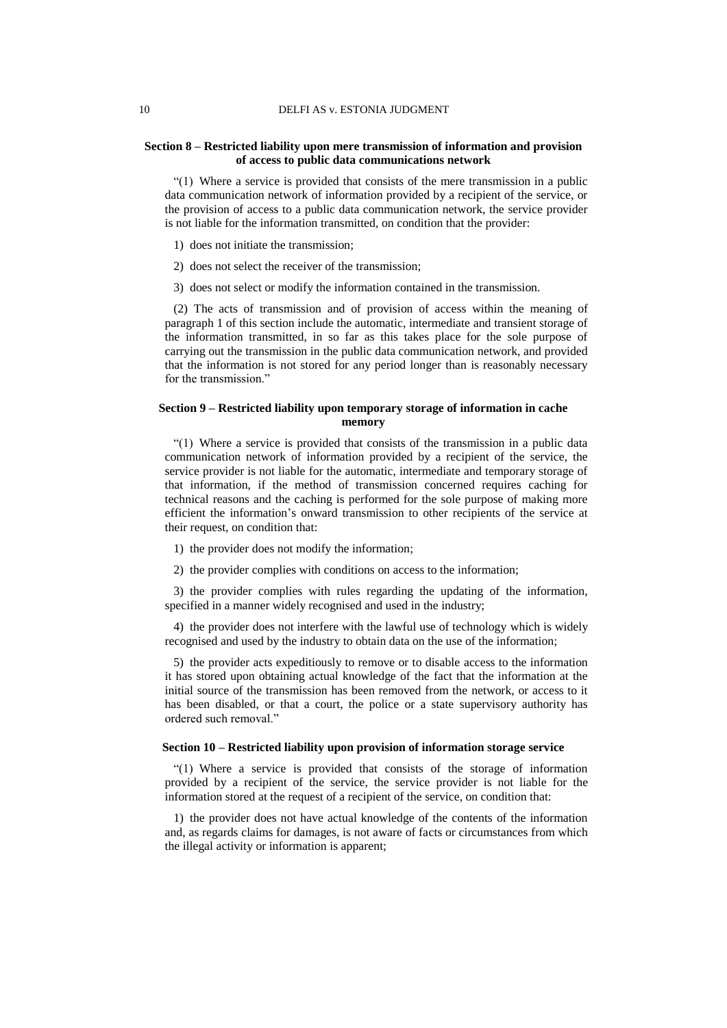### **Section 8 – Restricted liability upon mere transmission of information and provision of access to public data communications network**

"(1) Where a service is provided that consists of the mere transmission in a public data communication network of information provided by a recipient of the service, or the provision of access to a public data communication network, the service provider is not liable for the information transmitted, on condition that the provider:

- 1) does not initiate the transmission;
- 2) does not select the receiver of the transmission;
- 3) does not select or modify the information contained in the transmission.

(2) The acts of transmission and of provision of access within the meaning of paragraph 1 of this section include the automatic, intermediate and transient storage of the information transmitted, in so far as this takes place for the sole purpose of carrying out the transmission in the public data communication network, and provided that the information is not stored for any period longer than is reasonably necessary for the transmission."

### **Section 9 – Restricted liability upon temporary storage of information in cache memory**

"(1) Where a service is provided that consists of the transmission in a public data communication network of information provided by a recipient of the service, the service provider is not liable for the automatic, intermediate and temporary storage of that information, if the method of transmission concerned requires caching for technical reasons and the caching is performed for the sole purpose of making more efficient the information's onward transmission to other recipients of the service at their request, on condition that:

- 1) the provider does not modify the information;
- 2) the provider complies with conditions on access to the information;

3) the provider complies with rules regarding the updating of the information, specified in a manner widely recognised and used in the industry;

4) the provider does not interfere with the lawful use of technology which is widely recognised and used by the industry to obtain data on the use of the information;

5) the provider acts expeditiously to remove or to disable access to the information it has stored upon obtaining actual knowledge of the fact that the information at the initial source of the transmission has been removed from the network, or access to it has been disabled, or that a court, the police or a state supervisory authority has ordered such removal."

#### **Section 10 – Restricted liability upon provision of information storage service**

"(1) Where a service is provided that consists of the storage of information provided by a recipient of the service, the service provider is not liable for the information stored at the request of a recipient of the service, on condition that:

1) the provider does not have actual knowledge of the contents of the information and, as regards claims for damages, is not aware of facts or circumstances from which the illegal activity or information is apparent;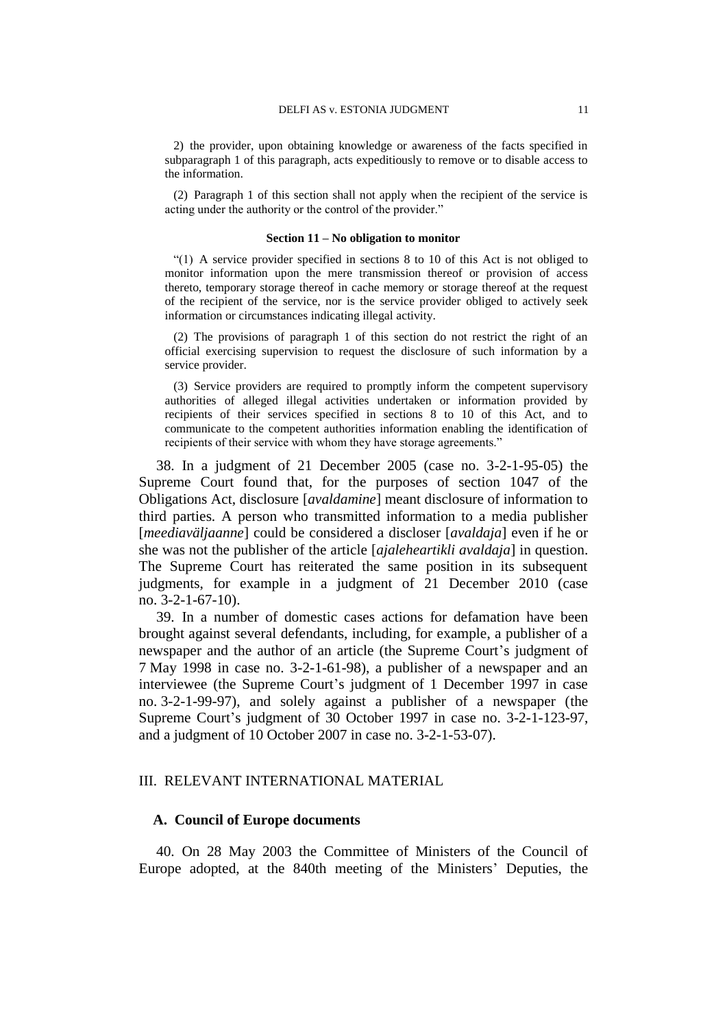2) the provider, upon obtaining knowledge or awareness of the facts specified in subparagraph 1 of this paragraph, acts expeditiously to remove or to disable access to the information.

(2) Paragraph 1 of this section shall not apply when the recipient of the service is acting under the authority or the control of the provider."

#### **Section 11 – No obligation to monitor**

"(1) A service provider specified in sections 8 to 10 of this Act is not obliged to monitor information upon the mere transmission thereof or provision of access thereto, temporary storage thereof in cache memory or storage thereof at the request of the recipient of the service, nor is the service provider obliged to actively seek information or circumstances indicating illegal activity.

(2) The provisions of paragraph 1 of this section do not restrict the right of an official exercising supervision to request the disclosure of such information by a service provider.

(3) Service providers are required to promptly inform the competent supervisory authorities of alleged illegal activities undertaken or information provided by recipients of their services specified in sections 8 to 10 of this Act, and to communicate to the competent authorities information enabling the identification of recipients of their service with whom they have storage agreements."

<span id="page-12-0"></span>38. In a judgment of 21 December 2005 (case no. 3-2-1-95-05) the Supreme Court found that, for the purposes of section 1047 of the Obligations Act, disclosure [*avaldamine*] meant disclosure of information to third parties. A person who transmitted information to a media publisher [*meediaväljaanne*] could be considered a discloser [*avaldaja*] even if he or she was not the publisher of the article [*ajaleheartikli avaldaja*] in question. The Supreme Court has reiterated the same position in its subsequent judgments, for example in a judgment of 21 December 2010 (case no. 3-2-1-67-10).

<span id="page-12-1"></span>39. In a number of domestic cases actions for defamation have been brought against several defendants, including, for example, a publisher of a newspaper and the author of an article (the Supreme Court's judgment of 7 May 1998 in case no. 3-2-1-61-98), a publisher of a newspaper and an interviewee (the Supreme Court's judgment of 1 December 1997 in case no. 3-2-1-99-97), and solely against a publisher of a newspaper (the Supreme Court's judgment of 30 October 1997 in case no. 3-2-1-123-97, and a judgment of 10 October 2007 in case no. 3-2-1-53-07).

# III. RELEVANT INTERNATIONAL MATERIAL

### **A. Council of Europe documents**

40. On 28 May 2003 the Committee of Ministers of the Council of Europe adopted, at the 840th meeting of the Ministers' Deputies, the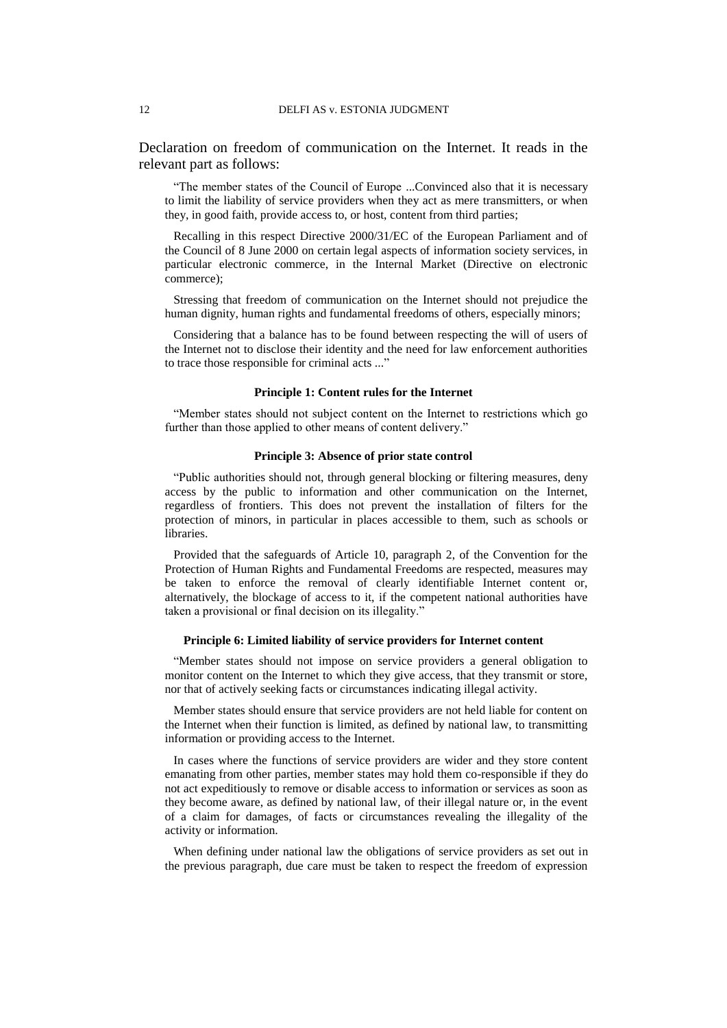Declaration on freedom of communication on the Internet. It reads in the relevant part as follows:

"The member states of the Council of Europe ...Convinced also that it is necessary to limit the liability of service providers when they act as mere transmitters, or when they, in good faith, provide access to, or host, content from third parties;

Recalling in this respect Directive 2000/31/EC of the European Parliament and of the Council of 8 June 2000 on certain legal aspects of information society services, in particular electronic commerce, in the Internal Market (Directive on electronic commerce);

Stressing that freedom of communication on the Internet should not prejudice the human dignity, human rights and fundamental freedoms of others, especially minors;

Considering that a balance has to be found between respecting the will of users of the Internet not to disclose their identity and the need for law enforcement authorities to trace those responsible for criminal acts ..."

### **Principle 1: Content rules for the Internet**

"Member states should not subject content on the Internet to restrictions which go further than those applied to other means of content delivery."

#### **Principle 3: Absence of prior state control**

"Public authorities should not, through general blocking or filtering measures, deny access by the public to information and other communication on the Internet, regardless of frontiers. This does not prevent the installation of filters for the protection of minors, in particular in places accessible to them, such as schools or libraries.

Provided that the safeguards of Article 10, paragraph 2, of the Convention for the Protection of Human Rights and Fundamental Freedoms are respected, measures may be taken to enforce the removal of clearly identifiable Internet content or, alternatively, the blockage of access to it, if the competent national authorities have taken a provisional or final decision on its illegality."

#### **Principle 6: Limited liability of service providers for Internet content**

"Member states should not impose on service providers a general obligation to monitor content on the Internet to which they give access, that they transmit or store, nor that of actively seeking facts or circumstances indicating illegal activity.

Member states should ensure that service providers are not held liable for content on the Internet when their function is limited, as defined by national law, to transmitting information or providing access to the Internet.

In cases where the functions of service providers are wider and they store content emanating from other parties, member states may hold them co-responsible if they do not act expeditiously to remove or disable access to information or services as soon as they become aware, as defined by national law, of their illegal nature or, in the event of a claim for damages, of facts or circumstances revealing the illegality of the activity or information.

When defining under national law the obligations of service providers as set out in the previous paragraph, due care must be taken to respect the freedom of expression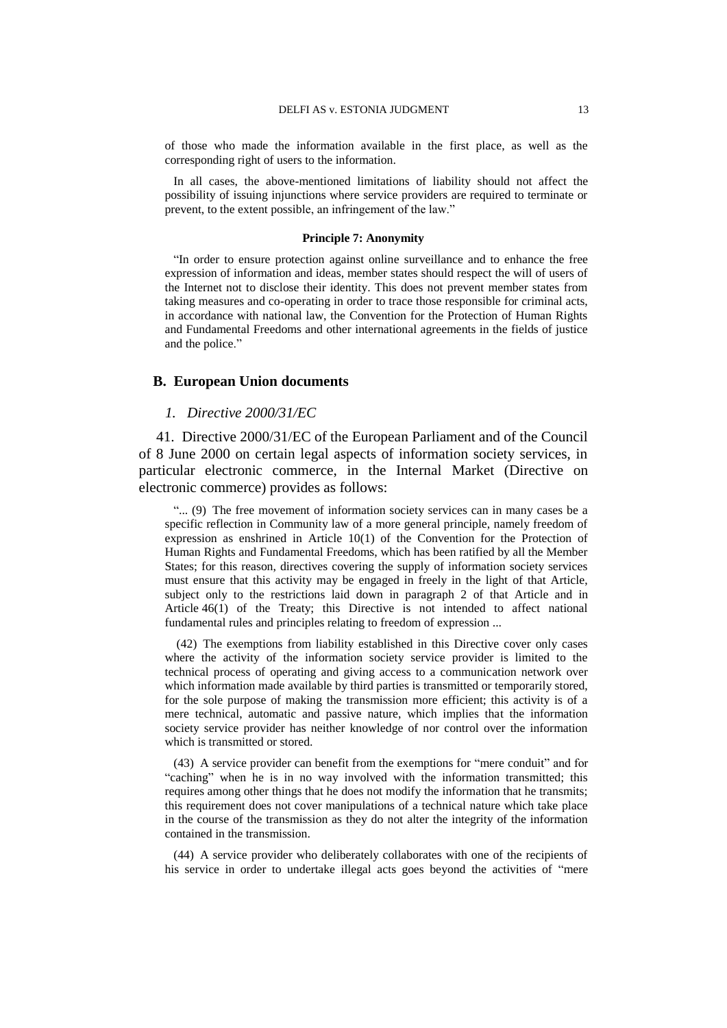of those who made the information available in the first place, as well as the corresponding right of users to the information.

In all cases, the above-mentioned limitations of liability should not affect the possibility of issuing injunctions where service providers are required to terminate or prevent, to the extent possible, an infringement of the law."

#### **Principle 7: Anonymity**

"In order to ensure protection against online surveillance and to enhance the free expression of information and ideas, member states should respect the will of users of the Internet not to disclose their identity. This does not prevent member states from taking measures and co-operating in order to trace those responsible for criminal acts, in accordance with national law, the Convention for the Protection of Human Rights and Fundamental Freedoms and other international agreements in the fields of justice and the police."

## **B. European Union documents**

# *1. Directive 2000/31/EC*

41. Directive 2000/31/EC of the European Parliament and of the Council of 8 June 2000 on certain legal aspects of information society services, in particular electronic commerce, in the Internal Market (Directive on electronic commerce) provides as follows:

"... (9) The free movement of information society services can in many cases be a specific reflection in Community law of a more general principle, namely freedom of expression as enshrined in Article 10(1) of the Convention for the Protection of Human Rights and Fundamental Freedoms, which has been ratified by all the Member States; for this reason, directives covering the supply of information society services must ensure that this activity may be engaged in freely in the light of that Article, subject only to the restrictions laid down in paragraph 2 of that Article and in Article 46(1) of the Treaty; this Directive is not intended to affect national fundamental rules and principles relating to freedom of expression ...

(42) The exemptions from liability established in this Directive cover only cases where the activity of the information society service provider is limited to the technical process of operating and giving access to a communication network over which information made available by third parties is transmitted or temporarily stored, for the sole purpose of making the transmission more efficient; this activity is of a mere technical, automatic and passive nature, which implies that the information society service provider has neither knowledge of nor control over the information which is transmitted or stored.

(43) A service provider can benefit from the exemptions for "mere conduit" and for "caching" when he is in no way involved with the information transmitted; this requires among other things that he does not modify the information that he transmits; this requirement does not cover manipulations of a technical nature which take place in the course of the transmission as they do not alter the integrity of the information contained in the transmission.

(44) A service provider who deliberately collaborates with one of the recipients of his service in order to undertake illegal acts goes beyond the activities of "mere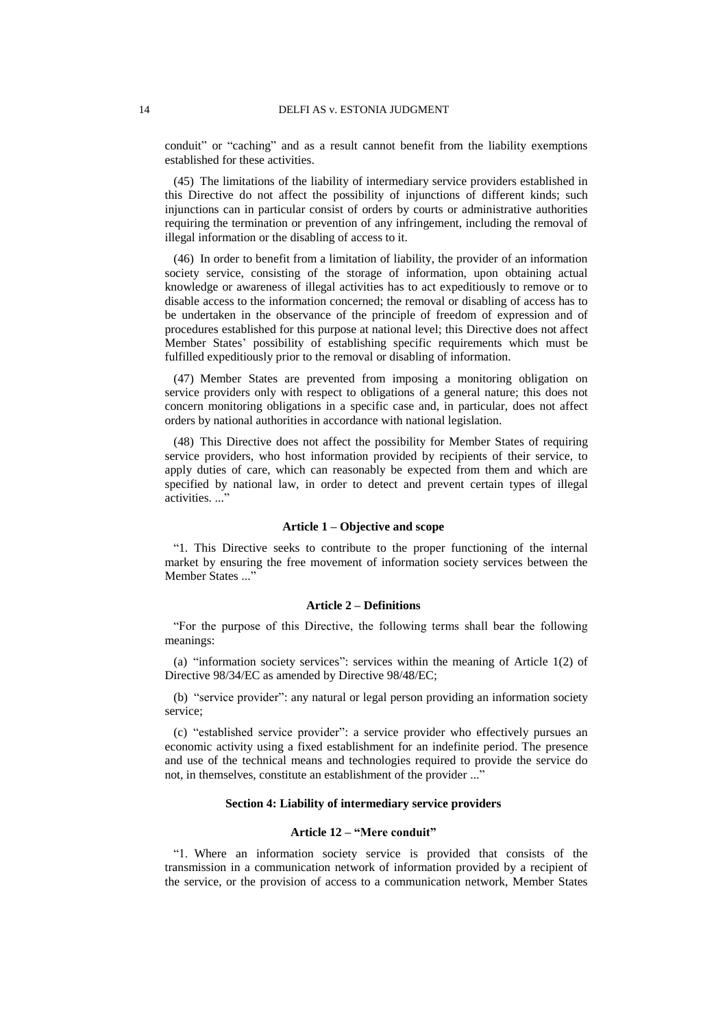conduit" or "caching" and as a result cannot benefit from the liability exemptions established for these activities.

(45) The limitations of the liability of intermediary service providers established in this Directive do not affect the possibility of injunctions of different kinds; such injunctions can in particular consist of orders by courts or administrative authorities requiring the termination or prevention of any infringement, including the removal of illegal information or the disabling of access to it.

(46) In order to benefit from a limitation of liability, the provider of an information society service, consisting of the storage of information, upon obtaining actual knowledge or awareness of illegal activities has to act expeditiously to remove or to disable access to the information concerned; the removal or disabling of access has to be undertaken in the observance of the principle of freedom of expression and of procedures established for this purpose at national level; this Directive does not affect Member States' possibility of establishing specific requirements which must be fulfilled expeditiously prior to the removal or disabling of information.

(47) Member States are prevented from imposing a monitoring obligation on service providers only with respect to obligations of a general nature; this does not concern monitoring obligations in a specific case and, in particular, does not affect orders by national authorities in accordance with national legislation.

(48) This Directive does not affect the possibility for Member States of requiring service providers, who host information provided by recipients of their service, to apply duties of care, which can reasonably be expected from them and which are specified by national law, in order to detect and prevent certain types of illegal activities. ..."

### **Article 1 – Objective and scope**

"1. This Directive seeks to contribute to the proper functioning of the internal market by ensuring the free movement of information society services between the Member States ..."

#### **Article 2 – Definitions**

"For the purpose of this Directive, the following terms shall bear the following meanings:

(a) "information society services": services within the meaning of Article 1(2) of Directive 98/34/EC as amended by Directive 98/48/EC;

(b) "service provider": any natural or legal person providing an information society service;

(c) "established service provider": a service provider who effectively pursues an economic activity using a fixed establishment for an indefinite period. The presence and use of the technical means and technologies required to provide the service do not, in themselves, constitute an establishment of the provider ..."

#### **Section 4: Liability of intermediary service providers**

#### **Article 12 – "Mere conduit"**

"1. Where an information society service is provided that consists of the transmission in a communication network of information provided by a recipient of the service, or the provision of access to a communication network, Member States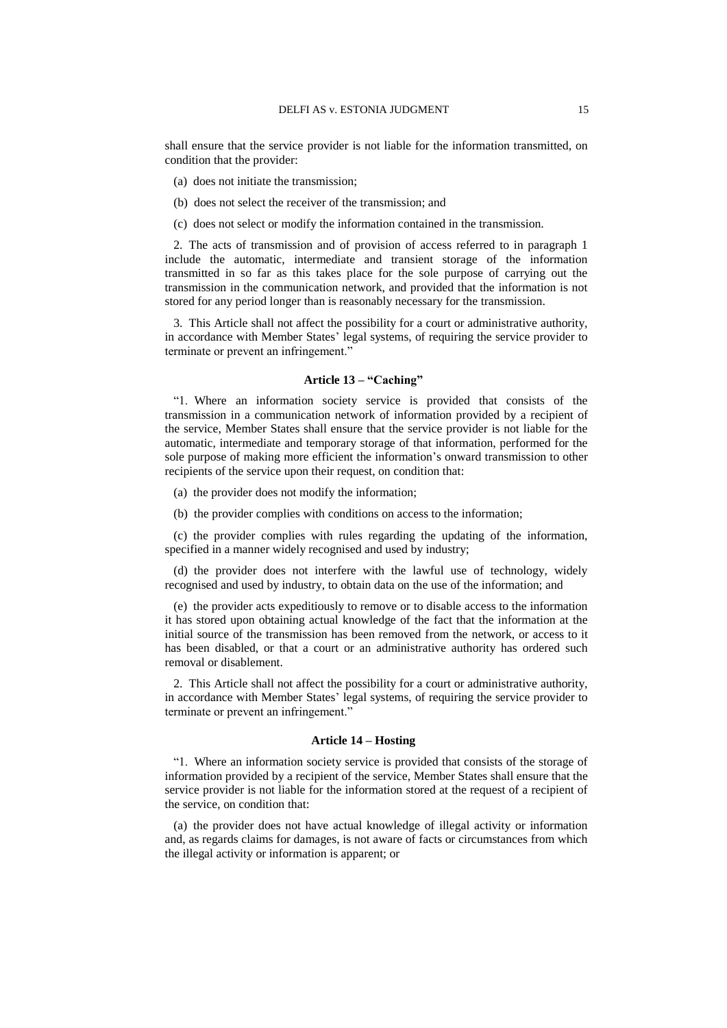shall ensure that the service provider is not liable for the information transmitted, on condition that the provider:

- (a) does not initiate the transmission;
- (b) does not select the receiver of the transmission; and
- (c) does not select or modify the information contained in the transmission.

2. The acts of transmission and of provision of access referred to in paragraph 1 include the automatic, intermediate and transient storage of the information transmitted in so far as this takes place for the sole purpose of carrying out the transmission in the communication network, and provided that the information is not stored for any period longer than is reasonably necessary for the transmission.

3. This Article shall not affect the possibility for a court or administrative authority, in accordance with Member States' legal systems, of requiring the service provider to terminate or prevent an infringement."

### **Article 13 – "Caching"**

"1. Where an information society service is provided that consists of the transmission in a communication network of information provided by a recipient of the service, Member States shall ensure that the service provider is not liable for the automatic, intermediate and temporary storage of that information, performed for the sole purpose of making more efficient the information's onward transmission to other recipients of the service upon their request, on condition that:

- (a) the provider does not modify the information;
- (b) the provider complies with conditions on access to the information;

(c) the provider complies with rules regarding the updating of the information, specified in a manner widely recognised and used by industry;

(d) the provider does not interfere with the lawful use of technology, widely recognised and used by industry, to obtain data on the use of the information; and

(e) the provider acts expeditiously to remove or to disable access to the information it has stored upon obtaining actual knowledge of the fact that the information at the initial source of the transmission has been removed from the network, or access to it has been disabled, or that a court or an administrative authority has ordered such removal or disablement.

2. This Article shall not affect the possibility for a court or administrative authority, in accordance with Member States' legal systems, of requiring the service provider to terminate or prevent an infringement."

### **Article 14 – Hosting**

"1. Where an information society service is provided that consists of the storage of information provided by a recipient of the service, Member States shall ensure that the service provider is not liable for the information stored at the request of a recipient of the service, on condition that:

(a) the provider does not have actual knowledge of illegal activity or information and, as regards claims for damages, is not aware of facts or circumstances from which the illegal activity or information is apparent; or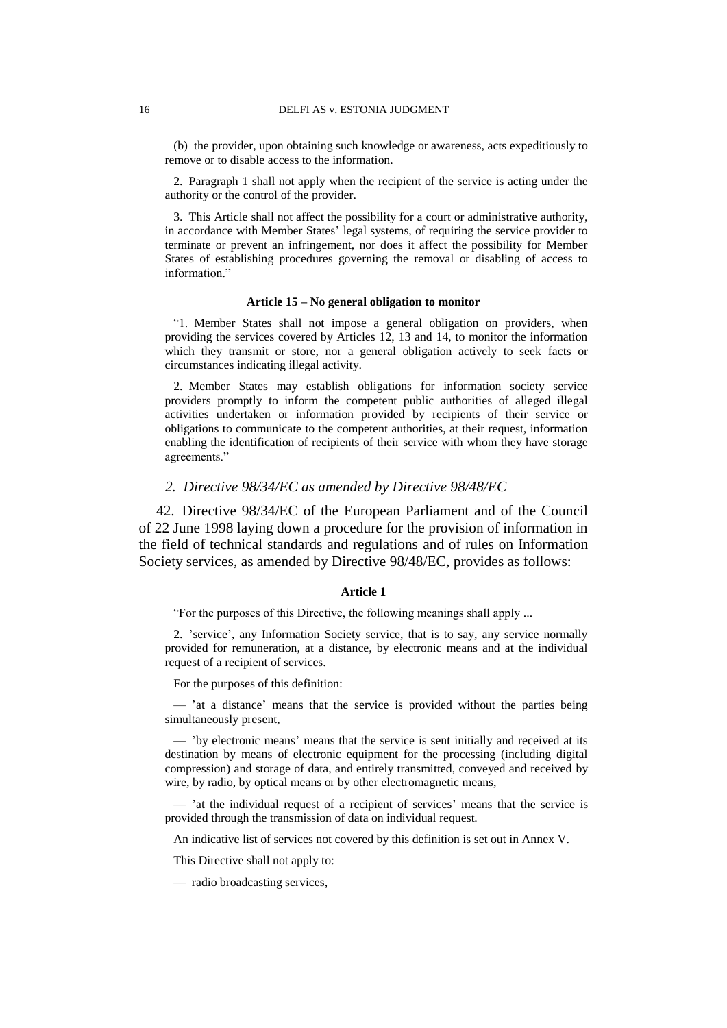(b) the provider, upon obtaining such knowledge or awareness, acts expeditiously to remove or to disable access to the information.

2. Paragraph 1 shall not apply when the recipient of the service is acting under the authority or the control of the provider.

3. This Article shall not affect the possibility for a court or administrative authority, in accordance with Member States' legal systems, of requiring the service provider to terminate or prevent an infringement, nor does it affect the possibility for Member States of establishing procedures governing the removal or disabling of access to information"

### **Article 15 – No general obligation to monitor**

"1. Member States shall not impose a general obligation on providers, when providing the services covered by Articles 12, 13 and 14, to monitor the information which they transmit or store, nor a general obligation actively to seek facts or circumstances indicating illegal activity.

2. Member States may establish obligations for information society service providers promptly to inform the competent public authorities of alleged illegal activities undertaken or information provided by recipients of their service or obligations to communicate to the competent authorities, at their request, information enabling the identification of recipients of their service with whom they have storage agreements."

### *2. Directive 98/34/EC as amended by Directive 98/48/EC*

42. Directive 98/34/EC of the European Parliament and of the Council of 22 June 1998 laying down a procedure for the provision of information in the field of technical standards and regulations and of rules on Information Society services, as amended by Directive 98/48/EC, provides as follows:

#### **Article 1**

"For the purposes of this Directive, the following meanings shall apply ...

2. 'service', any Information Society service, that is to say, any service normally provided for remuneration, at a distance, by electronic means and at the individual request of a recipient of services.

For the purposes of this definition:

— 'at a distance' means that the service is provided without the parties being simultaneously present,

— 'by electronic means' means that the service is sent initially and received at its destination by means of electronic equipment for the processing (including digital compression) and storage of data, and entirely transmitted, conveyed and received by wire, by radio, by optical means or by other electromagnetic means,

— 'at the individual request of a recipient of services' means that the service is provided through the transmission of data on individual request.

An indicative list of services not covered by this definition is set out in Annex V.

This Directive shall not apply to:

— radio broadcasting services,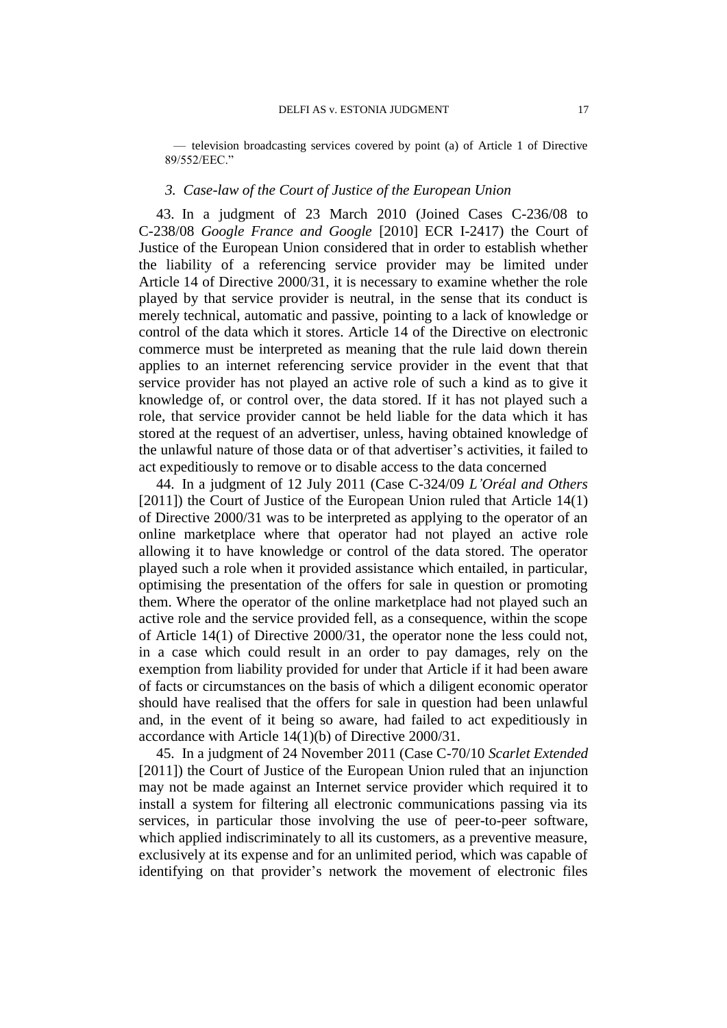— television broadcasting services covered by point (a) of Article 1 of Directive 89/552/EEC."

# *3. Case-law of the Court of Justice of the European Union*

43. In a judgment of 23 March 2010 (Joined Cases C-236/08 to C-238/08 *Google France and Google* [2010] ECR I-2417) the Court of Justice of the European Union considered that in order to establish whether the liability of a referencing service provider may be limited under Article 14 of Directive 2000/31, it is necessary to examine whether the role played by that service provider is neutral, in the sense that its conduct is merely technical, automatic and passive, pointing to a lack of knowledge or control of the data which it stores. Article 14 of the Directive on electronic commerce must be interpreted as meaning that the rule laid down therein applies to an internet referencing service provider in the event that that service provider has not played an active role of such a kind as to give it knowledge of, or control over, the data stored. If it has not played such a role, that service provider cannot be held liable for the data which it has stored at the request of an advertiser, unless, having obtained knowledge of the unlawful nature of those data or of that advertiser's activities, it failed to act expeditiously to remove or to disable access to the data concerned

44. In a judgment of 12 July 2011 (Case C-324/09 *L'Oréal and Others* [2011]) the Court of Justice of the European Union ruled that Article 14(1) of Directive 2000/31 was to be interpreted as applying to the operator of an online marketplace where that operator had not played an active role allowing it to have knowledge or control of the data stored. The operator played such a role when it provided assistance which entailed, in particular, optimising the presentation of the offers for sale in question or promoting them. Where the operator of the online marketplace had not played such an active role and the service provided fell, as a consequence, within the scope of Article 14(1) of Directive 2000/31, the operator none the less could not, in a case which could result in an order to pay damages, rely on the exemption from liability provided for under that Article if it had been aware of facts or circumstances on the basis of which a diligent economic operator should have realised that the offers for sale in question had been unlawful and, in the event of it being so aware, had failed to act expeditiously in accordance with Article 14(1)(b) of Directive 2000/31.

45. In a judgment of 24 November 2011 (Case C-70/10 *Scarlet Extended*  [2011]) the Court of Justice of the European Union ruled that an injunction may not be made against an Internet service provider which required it to install a system for filtering all electronic communications passing via its services, in particular those involving the use of peer-to-peer software, which applied indiscriminately to all its customers, as a preventive measure, exclusively at its expense and for an unlimited period, which was capable of identifying on that provider's network the movement of electronic files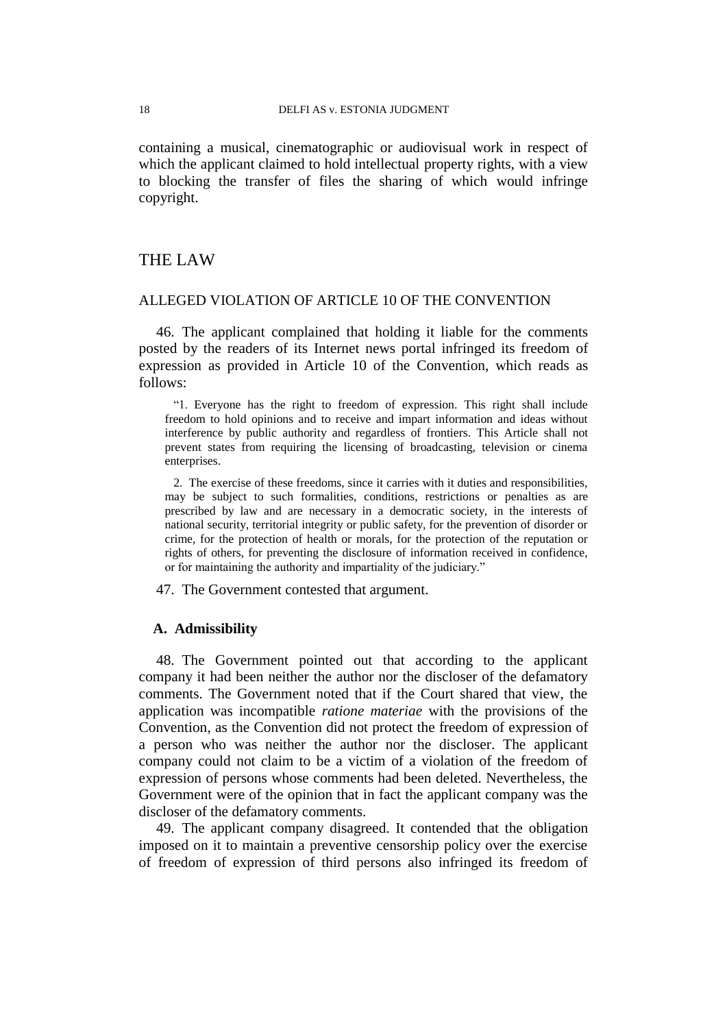containing a musical, cinematographic or audiovisual work in respect of which the applicant claimed to hold intellectual property rights, with a view to blocking the transfer of files the sharing of which would infringe copyright.

# THE LAW

# ALLEGED VIOLATION OF ARTICLE 10 OF THE CONVENTION

46. The applicant complained that holding it liable for the comments posted by the readers of its Internet news portal infringed its freedom of expression as provided in Article 10 of the Convention, which reads as follows:

"1. Everyone has the right to freedom of expression. This right shall include freedom to hold opinions and to receive and impart information and ideas without interference by public authority and regardless of frontiers. This Article shall not prevent states from requiring the licensing of broadcasting, television or cinema enterprises.

2. The exercise of these freedoms, since it carries with it duties and responsibilities, may be subject to such formalities, conditions, restrictions or penalties as are prescribed by law and are necessary in a democratic society, in the interests of national security, territorial integrity or public safety, for the prevention of disorder or crime, for the protection of health or morals, for the protection of the reputation or rights of others, for preventing the disclosure of information received in confidence, or for maintaining the authority and impartiality of the judiciary."

47. The Government contested that argument.

# **A. Admissibility**

<span id="page-19-0"></span>48. The Government pointed out that according to the applicant company it had been neither the author nor the discloser of the defamatory comments. The Government noted that if the Court shared that view, the application was incompatible *ratione materiae* with the provisions of the Convention, as the Convention did not protect the freedom of expression of a person who was neither the author nor the discloser. The applicant company could not claim to be a victim of a violation of the freedom of expression of persons whose comments had been deleted. Nevertheless, the Government were of the opinion that in fact the applicant company was the discloser of the defamatory comments.

<span id="page-19-1"></span>49. The applicant company disagreed. It contended that the obligation imposed on it to maintain a preventive censorship policy over the exercise of freedom of expression of third persons also infringed its freedom of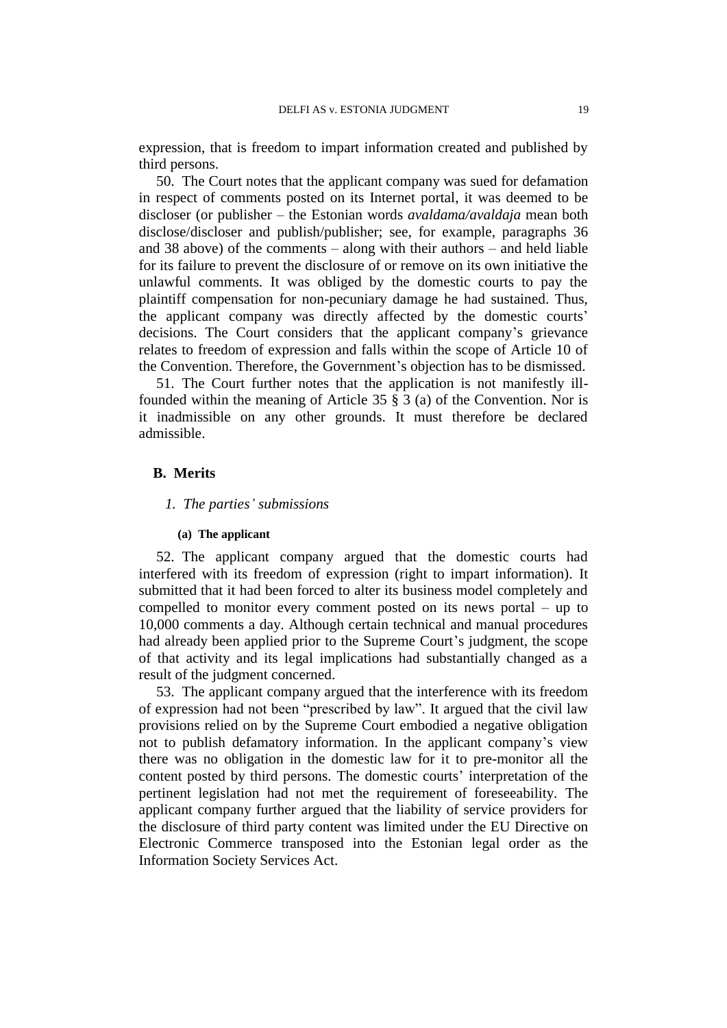expression, that is freedom to impart information created and published by third persons.

<span id="page-20-0"></span>50. The Court notes that the applicant company was sued for defamation in respect of comments posted on its Internet portal, it was deemed to be discloser (or publisher – the Estonian words *avaldama/avaldaja* mean both disclose/discloser and publish/publisher; see, for example, paragraphs [36](#page-9-0) and [38](#page-12-0) above) of the comments – along with their authors – and held liable for its failure to prevent the disclosure of or remove on its own initiative the unlawful comments. It was obliged by the domestic courts to pay the plaintiff compensation for non-pecuniary damage he had sustained. Thus, the applicant company was directly affected by the domestic courts' decisions. The Court considers that the applicant company's grievance relates to freedom of expression and falls within the scope of Article 10 of the Convention. Therefore, the Government's objection has to be dismissed.

51. The Court further notes that the application is not manifestly illfounded within the meaning of Article 35 § 3 (a) of the Convention. Nor is it inadmissible on any other grounds. It must therefore be declared admissible.

# **B. Merits**

# *1. The parties' submissions*

#### **(a) The applicant**

52. The applicant company argued that the domestic courts had interfered with its freedom of expression (right to impart information). It submitted that it had been forced to alter its business model completely and compelled to monitor every comment posted on its news portal – up to 10,000 comments a day. Although certain technical and manual procedures had already been applied prior to the Supreme Court's judgment, the scope of that activity and its legal implications had substantially changed as a result of the judgment concerned.

53. The applicant company argued that the interference with its freedom of expression had not been "prescribed by law". It argued that the civil law provisions relied on by the Supreme Court embodied a negative obligation not to publish defamatory information. In the applicant company's view there was no obligation in the domestic law for it to pre-monitor all the content posted by third persons. The domestic courts' interpretation of the pertinent legislation had not met the requirement of foreseeability. The applicant company further argued that the liability of service providers for the disclosure of third party content was limited under the EU Directive on Electronic Commerce transposed into the Estonian legal order as the Information Society Services Act.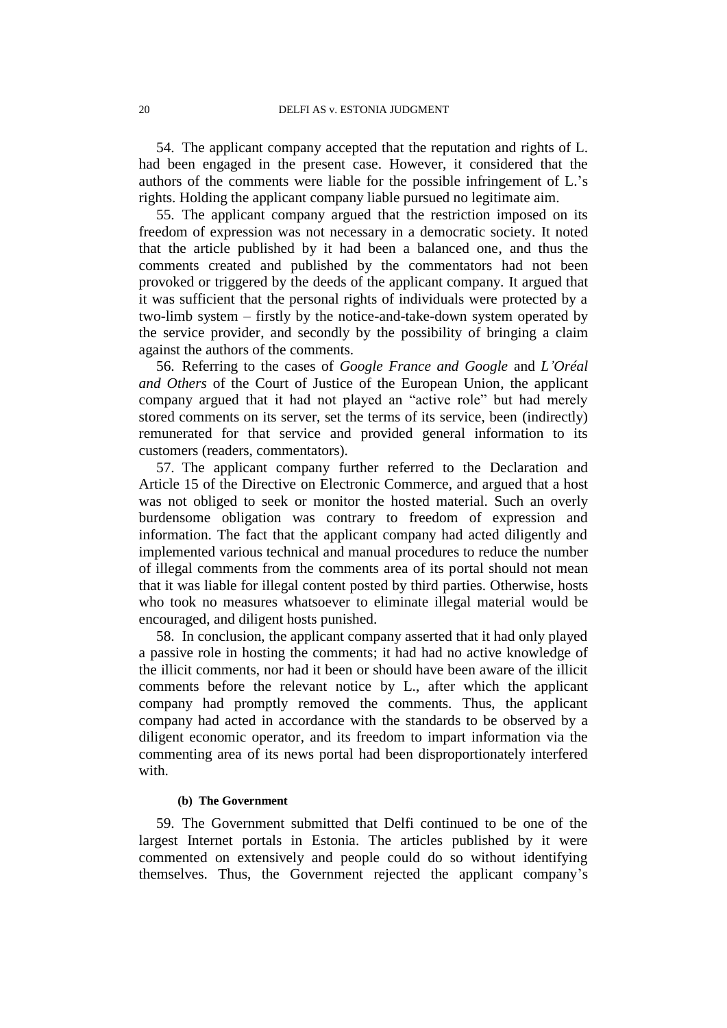54. The applicant company accepted that the reputation and rights of L. had been engaged in the present case. However, it considered that the authors of the comments were liable for the possible infringement of L.'s rights. Holding the applicant company liable pursued no legitimate aim.

55. The applicant company argued that the restriction imposed on its freedom of expression was not necessary in a democratic society. It noted that the article published by it had been a balanced one, and thus the comments created and published by the commentators had not been provoked or triggered by the deeds of the applicant company. It argued that it was sufficient that the personal rights of individuals were protected by a two-limb system – firstly by the notice-and-take-down system operated by the service provider, and secondly by the possibility of bringing a claim against the authors of the comments.

56. Referring to the cases of *Google France and Google* and *L'Oréal and Others* of the Court of Justice of the European Union, the applicant company argued that it had not played an "active role" but had merely stored comments on its server, set the terms of its service, been (indirectly) remunerated for that service and provided general information to its customers (readers, commentators).

57. The applicant company further referred to the Declaration and Article 15 of the Directive on Electronic Commerce, and argued that a host was not obliged to seek or monitor the hosted material. Such an overly burdensome obligation was contrary to freedom of expression and information. The fact that the applicant company had acted diligently and implemented various technical and manual procedures to reduce the number of illegal comments from the comments area of its portal should not mean that it was liable for illegal content posted by third parties. Otherwise, hosts who took no measures whatsoever to eliminate illegal material would be encouraged, and diligent hosts punished.

58. In conclusion, the applicant company asserted that it had only played a passive role in hosting the comments; it had had no active knowledge of the illicit comments, nor had it been or should have been aware of the illicit comments before the relevant notice by L., after which the applicant company had promptly removed the comments. Thus, the applicant company had acted in accordance with the standards to be observed by a diligent economic operator, and its freedom to impart information via the commenting area of its news portal had been disproportionately interfered with

### **(b) The Government**

59. The Government submitted that Delfi continued to be one of the largest Internet portals in Estonia. The articles published by it were commented on extensively and people could do so without identifying themselves. Thus, the Government rejected the applicant company's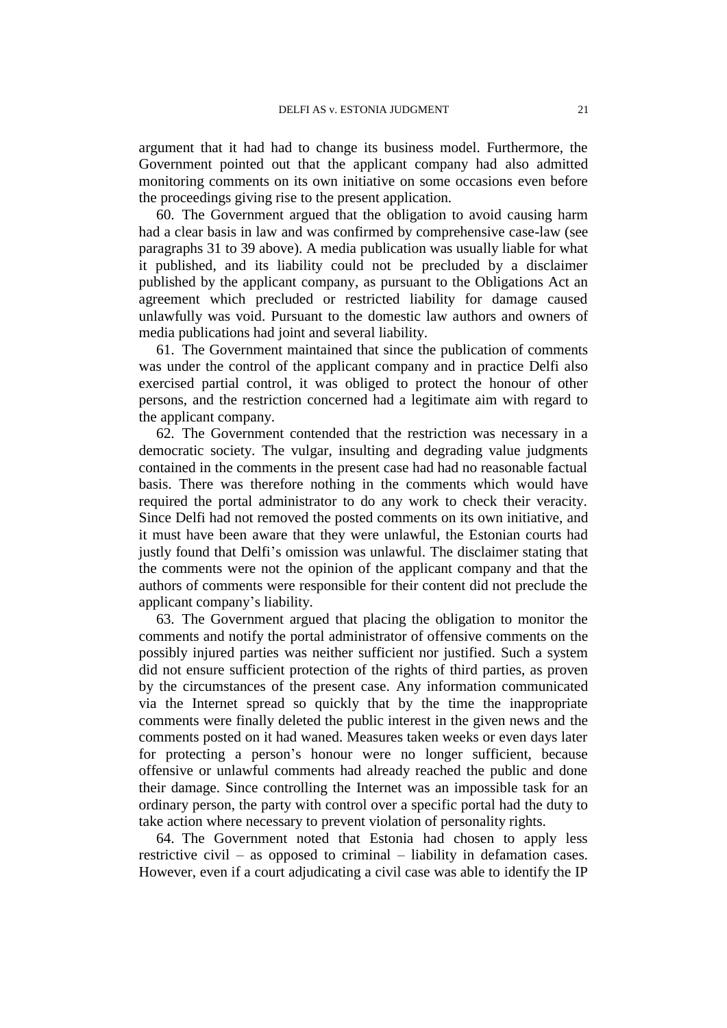argument that it had had to change its business model. Furthermore, the Government pointed out that the applicant company had also admitted monitoring comments on its own initiative on some occasions even before the proceedings giving rise to the present application.

60. The Government argued that the obligation to avoid causing harm had a clear basis in law and was confirmed by comprehensive case-law (see paragraphs [31](#page-9-1) to [39](#page-12-1) above). A media publication was usually liable for what it published, and its liability could not be precluded by a disclaimer published by the applicant company, as pursuant to the Obligations Act an agreement which precluded or restricted liability for damage caused unlawfully was void. Pursuant to the domestic law authors and owners of media publications had joint and several liability.

61. The Government maintained that since the publication of comments was under the control of the applicant company and in practice Delfi also exercised partial control, it was obliged to protect the honour of other persons, and the restriction concerned had a legitimate aim with regard to the applicant company.

62. The Government contended that the restriction was necessary in a democratic society. The vulgar, insulting and degrading value judgments contained in the comments in the present case had had no reasonable factual basis. There was therefore nothing in the comments which would have required the portal administrator to do any work to check their veracity. Since Delfi had not removed the posted comments on its own initiative, and it must have been aware that they were unlawful, the Estonian courts had justly found that Delfi's omission was unlawful. The disclaimer stating that the comments were not the opinion of the applicant company and that the authors of comments were responsible for their content did not preclude the applicant company's liability.

63. The Government argued that placing the obligation to monitor the comments and notify the portal administrator of offensive comments on the possibly injured parties was neither sufficient nor justified. Such a system did not ensure sufficient protection of the rights of third parties, as proven by the circumstances of the present case. Any information communicated via the Internet spread so quickly that by the time the inappropriate comments were finally deleted the public interest in the given news and the comments posted on it had waned. Measures taken weeks or even days later for protecting a person's honour were no longer sufficient, because offensive or unlawful comments had already reached the public and done their damage. Since controlling the Internet was an impossible task for an ordinary person, the party with control over a specific portal had the duty to take action where necessary to prevent violation of personality rights.

64. The Government noted that Estonia had chosen to apply less restrictive civil – as opposed to criminal – liability in defamation cases. However, even if a court adjudicating a civil case was able to identify the IP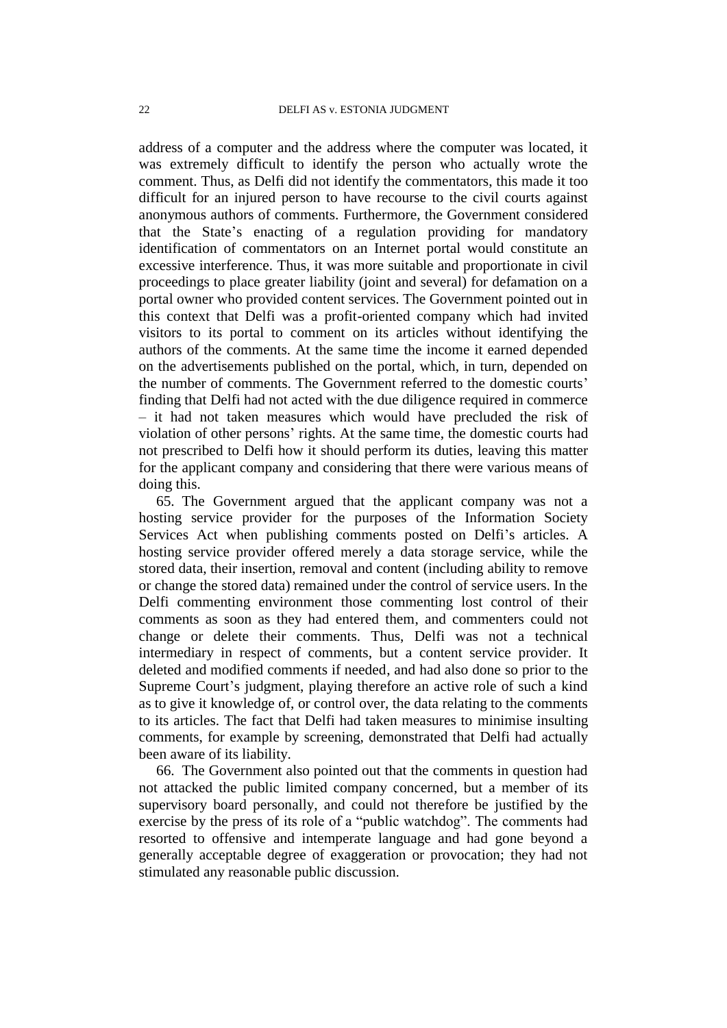address of a computer and the address where the computer was located, it was extremely difficult to identify the person who actually wrote the comment. Thus, as Delfi did not identify the commentators, this made it too difficult for an injured person to have recourse to the civil courts against anonymous authors of comments. Furthermore, the Government considered that the State's enacting of a regulation providing for mandatory identification of commentators on an Internet portal would constitute an excessive interference. Thus, it was more suitable and proportionate in civil proceedings to place greater liability (joint and several) for defamation on a portal owner who provided content services. The Government pointed out in this context that Delfi was a profit-oriented company which had invited visitors to its portal to comment on its articles without identifying the authors of the comments. At the same time the income it earned depended on the advertisements published on the portal, which, in turn, depended on the number of comments. The Government referred to the domestic courts' finding that Delfi had not acted with the due diligence required in commerce – it had not taken measures which would have precluded the risk of violation of other persons' rights. At the same time, the domestic courts had not prescribed to Delfi how it should perform its duties, leaving this matter for the applicant company and considering that there were various means of doing this.

65. The Government argued that the applicant company was not a hosting service provider for the purposes of the Information Society Services Act when publishing comments posted on Delfi's articles. A hosting service provider offered merely a data storage service, while the stored data, their insertion, removal and content (including ability to remove or change the stored data) remained under the control of service users. In the Delfi commenting environment those commenting lost control of their comments as soon as they had entered them, and commenters could not change or delete their comments. Thus, Delfi was not a technical intermediary in respect of comments, but a content service provider. It deleted and modified comments if needed, and had also done so prior to the Supreme Court's judgment, playing therefore an active role of such a kind as to give it knowledge of, or control over, the data relating to the comments to its articles. The fact that Delfi had taken measures to minimise insulting comments, for example by screening, demonstrated that Delfi had actually been aware of its liability.

66. The Government also pointed out that the comments in question had not attacked the public limited company concerned, but a member of its supervisory board personally, and could not therefore be justified by the exercise by the press of its role of a "public watchdog". The comments had resorted to offensive and intemperate language and had gone beyond a generally acceptable degree of exaggeration or provocation; they had not stimulated any reasonable public discussion.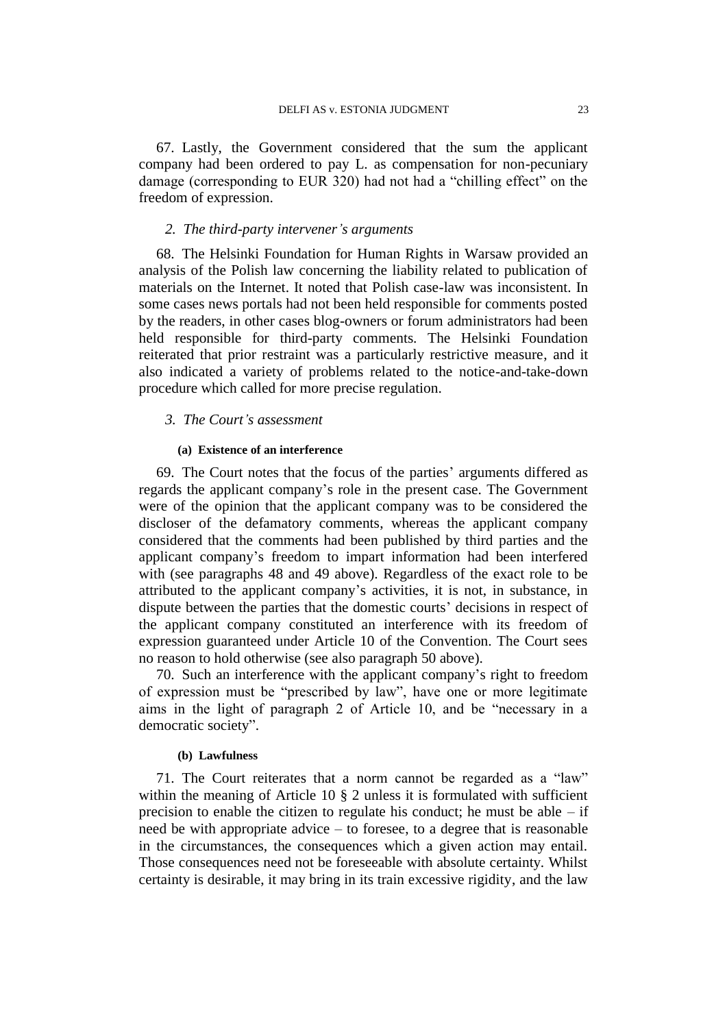67. Lastly, the Government considered that the sum the applicant company had been ordered to pay L. as compensation for non-pecuniary damage (corresponding to EUR 320) had not had a "chilling effect" on the freedom of expression.

### *2. The third-party intervener's arguments*

68. The Helsinki Foundation for Human Rights in Warsaw provided an analysis of the Polish law concerning the liability related to publication of materials on the Internet. It noted that Polish case-law was inconsistent. In some cases news portals had not been held responsible for comments posted by the readers, in other cases blog-owners or forum administrators had been held responsible for third-party comments. The Helsinki Foundation reiterated that prior restraint was a particularly restrictive measure, and it also indicated a variety of problems related to the notice-and-take-down procedure which called for more precise regulation.

# *3. The Court's assessment*

### **(a) Existence of an interference**

69. The Court notes that the focus of the parties' arguments differed as regards the applicant company's role in the present case. The Government were of the opinion that the applicant company was to be considered the discloser of the defamatory comments, whereas the applicant company considered that the comments had been published by third parties and the applicant company's freedom to impart information had been interfered with (see paragraphs [48](#page-19-0) and [49](#page-19-1) above). Regardless of the exact role to be attributed to the applicant company's activities, it is not, in substance, in dispute between the parties that the domestic courts' decisions in respect of the applicant company constituted an interference with its freedom of expression guaranteed under Article 10 of the Convention. The Court sees no reason to hold otherwise (see also paragraph [50](#page-20-0) above).

70. Such an interference with the applicant company's right to freedom of expression must be "prescribed by law", have one or more legitimate aims in the light of paragraph 2 of Article 10, and be "necessary in a democratic society".

# **(b) Lawfulness**

71. The Court reiterates that a norm cannot be regarded as a "law" within the meaning of Article 10 § 2 unless it is formulated with sufficient precision to enable the citizen to regulate his conduct; he must be able – if need be with appropriate advice – to foresee, to a degree that is reasonable in the circumstances, the consequences which a given action may entail. Those consequences need not be foreseeable with absolute certainty. Whilst certainty is desirable, it may bring in its train excessive rigidity, and the law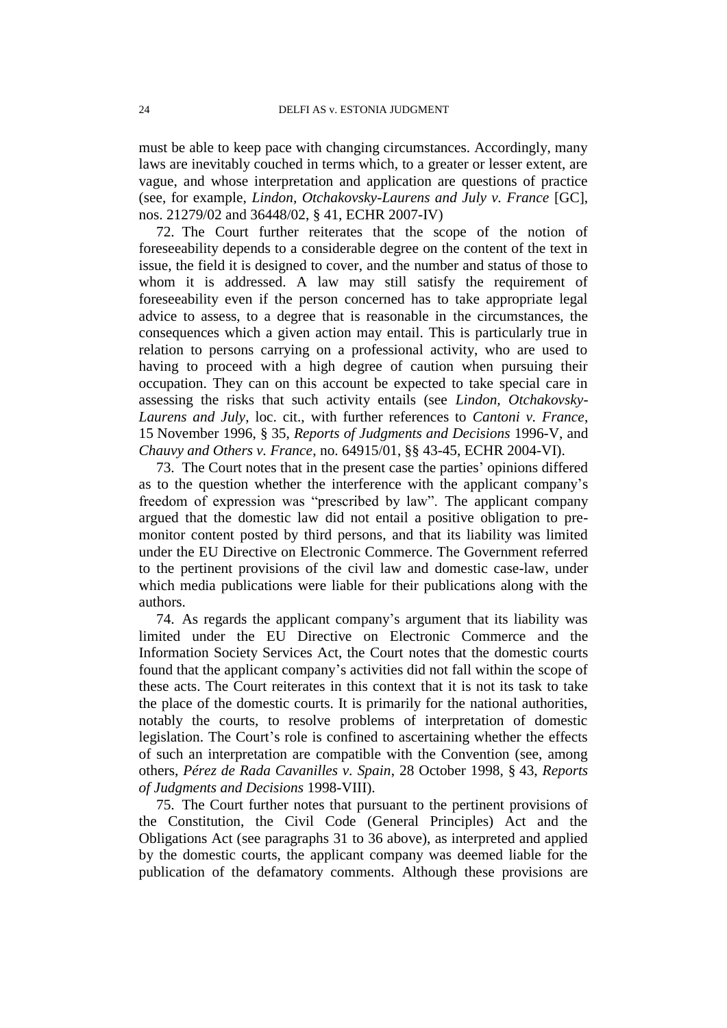must be able to keep pace with changing circumstances. Accordingly, many laws are inevitably couched in terms which, to a greater or lesser extent, are vague, and whose interpretation and application are questions of practice (see, for example, *Lindon, Otchakovsky-Laurens and July v. France* [GC], nos. 21279/02 and 36448/02, § 41, ECHR 2007-IV)

72. The Court further reiterates that the scope of the notion of foreseeability depends to a considerable degree on the content of the text in issue, the field it is designed to cover, and the number and status of those to whom it is addressed. A law may still satisfy the requirement of foreseeability even if the person concerned has to take appropriate legal advice to assess, to a degree that is reasonable in the circumstances, the consequences which a given action may entail. This is particularly true in relation to persons carrying on a professional activity, who are used to having to proceed with a high degree of caution when pursuing their occupation. They can on this account be expected to take special care in assessing the risks that such activity entails (see *Lindon, Otchakovsky-Laurens and July*, loc. cit., with further references to *Cantoni v. France*, 15 November 1996, § 35, *Reports of Judgments and Decisions* 1996-V, and *Chauvy and Others v. France*, no. 64915/01, §§ 43-45, ECHR 2004-VI).

73. The Court notes that in the present case the parties' opinions differed as to the question whether the interference with the applicant company's freedom of expression was "prescribed by law". The applicant company argued that the domestic law did not entail a positive obligation to premonitor content posted by third persons, and that its liability was limited under the EU Directive on Electronic Commerce. The Government referred to the pertinent provisions of the civil law and domestic case-law, under which media publications were liable for their publications along with the authors.

74. As regards the applicant company's argument that its liability was limited under the EU Directive on Electronic Commerce and the Information Society Services Act, the Court notes that the domestic courts found that the applicant company's activities did not fall within the scope of these acts. The Court reiterates in this context that it is not its task to take the place of the domestic courts. It is primarily for the national authorities, notably the courts, to resolve problems of interpretation of domestic legislation. The Court's role is confined to ascertaining whether the effects of such an interpretation are compatible with the Convention (see, among others, *Pérez de Rada Cavanilles v. Spain*, 28 October 1998, § 43, *Reports of Judgments and Decisions* 1998-VIII).

75. The Court further notes that pursuant to the pertinent provisions of the Constitution, the Civil Code (General Principles) Act and the Obligations Act (see paragraphs [31](#page-9-1) to [36](#page-9-0) above), as interpreted and applied by the domestic courts, the applicant company was deemed liable for the publication of the defamatory comments. Although these provisions are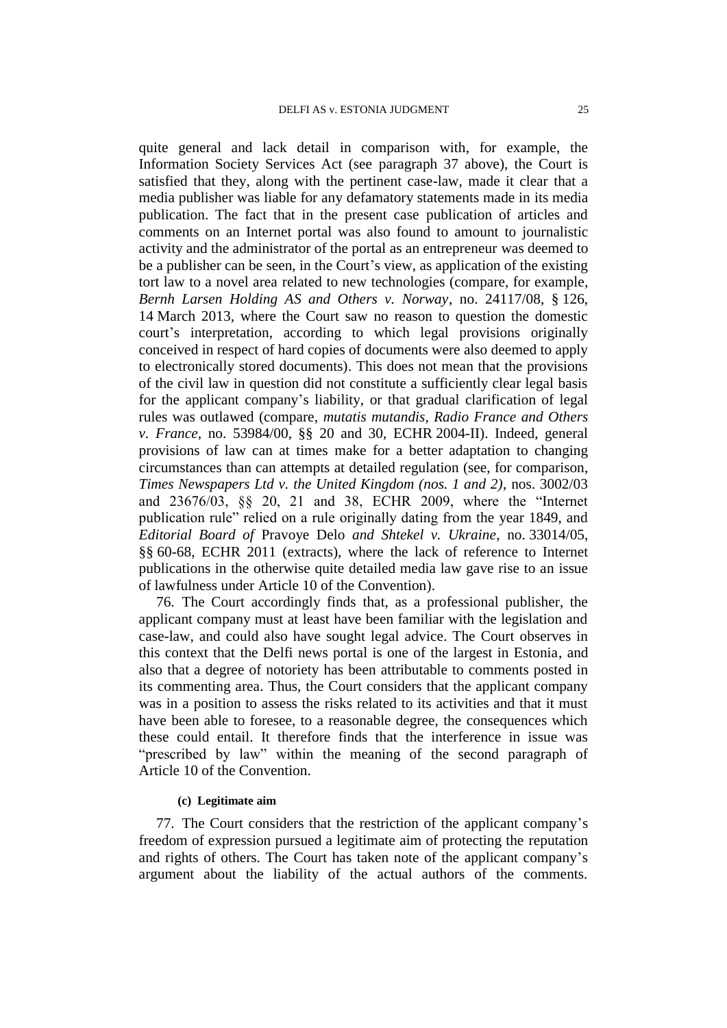quite general and lack detail in comparison with, for example, the Information Society Services Act (see paragraph 37 above), the Court is satisfied that they, along with the pertinent case-law, made it clear that a media publisher was liable for any defamatory statements made in its media publication. The fact that in the present case publication of articles and comments on an Internet portal was also found to amount to journalistic activity and the administrator of the portal as an entrepreneur was deemed to be a publisher can be seen, in the Court's view, as application of the existing tort law to a novel area related to new technologies (compare, for example, *Bernh Larsen Holding AS and Others v. Norway*, no. 24117/08, § 126, 14 March 2013, where the Court saw no reason to question the domestic court's interpretation, according to which legal provisions originally conceived in respect of hard copies of documents were also deemed to apply to electronically stored documents). This does not mean that the provisions of the civil law in question did not constitute a sufficiently clear legal basis for the applicant company's liability, or that gradual clarification of legal rules was outlawed (compare, *mutatis mutandis*, *Radio France and Others v. France*, no. 53984/00, §§ 20 and 30, ECHR 2004-II). Indeed, general provisions of law can at times make for a better adaptation to changing circumstances than can attempts at detailed regulation (see, for comparison, *Times Newspapers Ltd v. the United Kingdom (nos. 1 and 2)*, nos. 3002/03 and 23676/03, §§ 20, 21 and 38, ECHR 2009, where the "Internet publication rule" relied on a rule originally dating from the year 1849, and *Editorial Board of* Pravoye Delo *and Shtekel v. Ukraine*, no. 33014/05, §§ 60-68, ECHR 2011 (extracts), where the lack of reference to Internet publications in the otherwise quite detailed media law gave rise to an issue of lawfulness under Article 10 of the Convention).

76. The Court accordingly finds that, as a professional publisher, the applicant company must at least have been familiar with the legislation and case-law, and could also have sought legal advice. The Court observes in this context that the Delfi news portal is one of the largest in Estonia, and also that a degree of notoriety has been attributable to comments posted in its commenting area. Thus, the Court considers that the applicant company was in a position to assess the risks related to its activities and that it must have been able to foresee, to a reasonable degree, the consequences which these could entail. It therefore finds that the interference in issue was "prescribed by law" within the meaning of the second paragraph of Article 10 of the Convention.

### **(c) Legitimate aim**

77. The Court considers that the restriction of the applicant company's freedom of expression pursued a legitimate aim of protecting the reputation and rights of others. The Court has taken note of the applicant company's argument about the liability of the actual authors of the comments.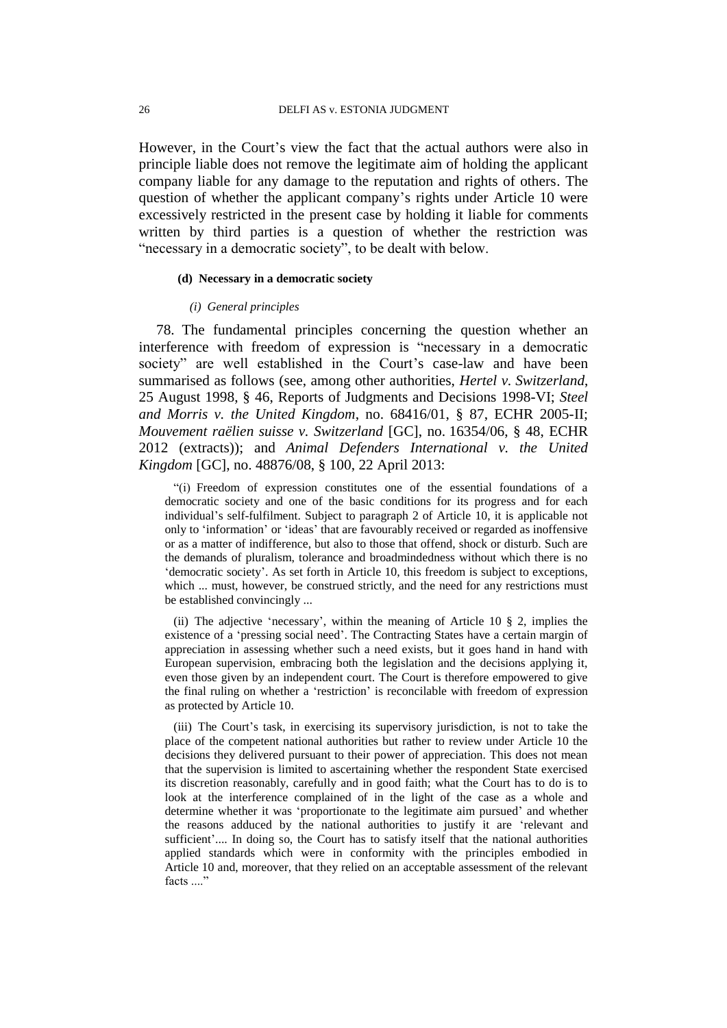However, in the Court's view the fact that the actual authors were also in principle liable does not remove the legitimate aim of holding the applicant company liable for any damage to the reputation and rights of others. The question of whether the applicant company's rights under Article 10 were excessively restricted in the present case by holding it liable for comments written by third parties is a question of whether the restriction was "necessary in a democratic society", to be dealt with below.

# **(d) Necessary in a democratic society**

### *(i) General principles*

78. The fundamental principles concerning the question whether an interference with freedom of expression is "necessary in a democratic society" are well established in the Court's case-law and have been summarised as follows (see, among other authorities, *Hertel v. Switzerland*, 25 August 1998, § 46, Reports of Judgments and Decisions 1998-VI; *Steel and Morris v. the United Kingdom*, no. 68416/01, § 87, ECHR 2005-II; *Mouvement raëlien suisse v. Switzerland* [GC], no. 16354/06, § 48, ECHR 2012 (extracts)); and *Animal Defenders International v. the United Kingdom* [GC], no. 48876/08, § 100, 22 April 2013:

"(i) Freedom of expression constitutes one of the essential foundations of a democratic society and one of the basic conditions for its progress and for each individual's self-fulfilment. Subject to paragraph 2 of Article 10, it is applicable not only to 'information' or 'ideas' that are favourably received or regarded as inoffensive or as a matter of indifference, but also to those that offend, shock or disturb. Such are the demands of pluralism, tolerance and broadmindedness without which there is no 'democratic society'. As set forth in Article 10, this freedom is subject to exceptions, which ... must, however, be construed strictly, and the need for any restrictions must be established convincingly ...

(ii) The adjective 'necessary', within the meaning of Article 10 § 2, implies the existence of a 'pressing social need'. The Contracting States have a certain margin of appreciation in assessing whether such a need exists, but it goes hand in hand with European supervision, embracing both the legislation and the decisions applying it, even those given by an independent court. The Court is therefore empowered to give the final ruling on whether a 'restriction' is reconcilable with freedom of expression as protected by Article 10.

(iii) The Court's task, in exercising its supervisory jurisdiction, is not to take the place of the competent national authorities but rather to review under Article 10 the decisions they delivered pursuant to their power of appreciation. This does not mean that the supervision is limited to ascertaining whether the respondent State exercised its discretion reasonably, carefully and in good faith; what the Court has to do is to look at the interference complained of in the light of the case as a whole and determine whether it was 'proportionate to the legitimate aim pursued' and whether the reasons adduced by the national authorities to justify it are 'relevant and sufficient'.... In doing so, the Court has to satisfy itself that the national authorities applied standards which were in conformity with the principles embodied in Article 10 and, moreover, that they relied on an acceptable assessment of the relevant facts ...."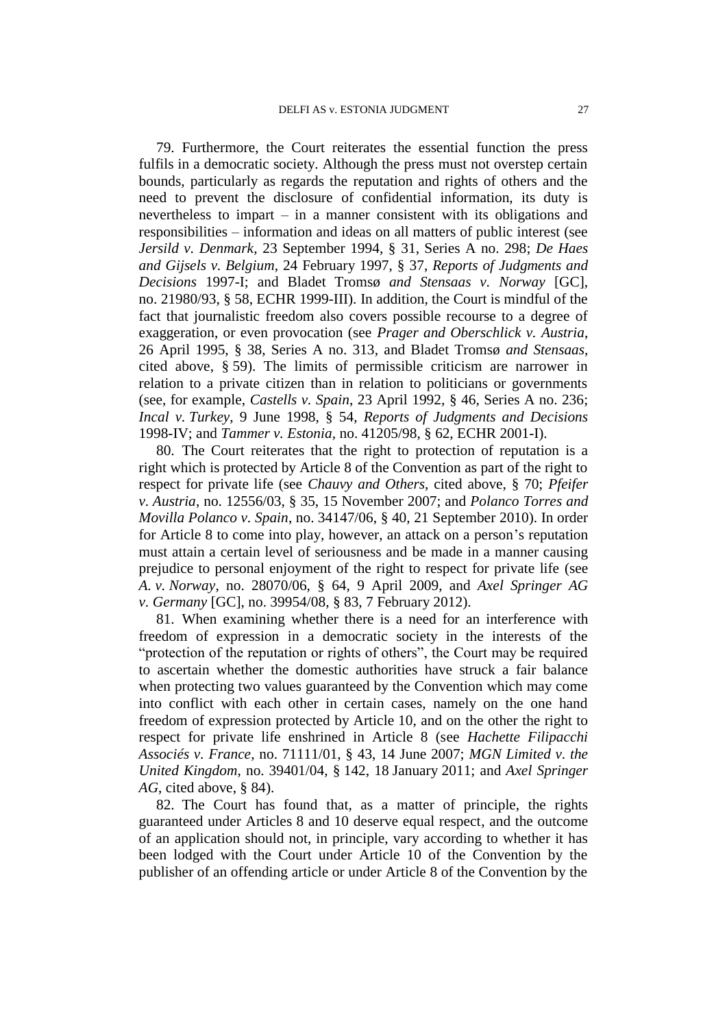79. Furthermore, the Court reiterates the essential function the press fulfils in a democratic society. Although the press must not overstep certain bounds, particularly as regards the reputation and rights of others and the need to prevent the disclosure of confidential information, its duty is nevertheless to impart – in a manner consistent with its obligations and responsibilities – information and ideas on all matters of public interest (see *Jersild v. Denmark*, 23 September 1994, § 31, Series A no. 298; *De Haes and Gijsels v. Belgium*, 24 February 1997, § 37, *Reports of Judgments and Decisions* 1997-I; and Bladet Tromsø *and Stensaas v. Norway* [GC], no. 21980/93, § 58, ECHR 1999-III). In addition, the Court is mindful of the fact that journalistic freedom also covers possible recourse to a degree of exaggeration, or even provocation (see *Prager and Oberschlick v. Austria*, 26 April 1995, § 38, Series A no. 313, and Bladet Tromsø *and Stensaas*, cited above, § 59). The limits of permissible criticism are narrower in relation to a private citizen than in relation to politicians or governments (see, for example, *Castells v. Spain*, 23 April 1992, § 46, Series A no. 236; *Incal v. Turkey*, 9 June 1998, § 54, *Reports of Judgments and Decisions* 1998-IV; and *Tammer v. Estonia*, no. 41205/98, § 62, ECHR 2001-I).

80. The Court reiterates that the right to protection of reputation is a right which is protected by Article 8 of the Convention as part of the right to respect for private life (see *Chauvy and Others*, cited above, § 70; *Pfeifer v. Austria*, no. 12556/03, § 35, 15 November 2007; and *Polanco Torres and Movilla Polanco v. Spain*, no. 34147/06, § 40, 21 September 2010). In order for Article 8 to come into play, however, an attack on a person's reputation must attain a certain level of seriousness and be made in a manner causing prejudice to personal enjoyment of the right to respect for private life (see *A. v. Norway*, no. 28070/06, § 64, 9 April 2009, and *Axel Springer AG v. Germany* [GC], no. 39954/08, § 83, 7 February 2012).

81. When examining whether there is a need for an interference with freedom of expression in a democratic society in the interests of the "protection of the reputation or rights of others", the Court may be required to ascertain whether the domestic authorities have struck a fair balance when protecting two values guaranteed by the Convention which may come into conflict with each other in certain cases, namely on the one hand freedom of expression protected by Article 10, and on the other the right to respect for private life enshrined in Article 8 (see *Hachette Filipacchi Associés v. France*, no. 71111/01, § 43, 14 June 2007; *MGN Limited v. the United Kingdom*, no. 39401/04, § 142, 18 January 2011; and *Axel Springer AG*, cited above, § 84).

82. The Court has found that, as a matter of principle, the rights guaranteed under Articles 8 and 10 deserve equal respect, and the outcome of an application should not, in principle, vary according to whether it has been lodged with the Court under Article 10 of the Convention by the publisher of an offending article or under Article 8 of the Convention by the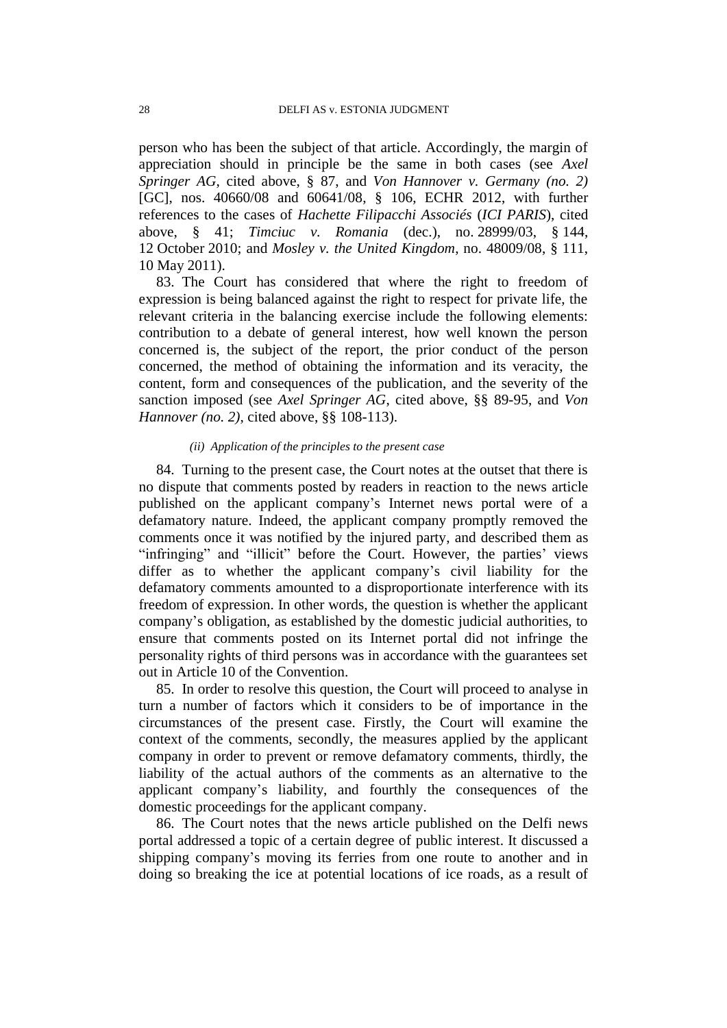person who has been the subject of that article. Accordingly, the margin of appreciation should in principle be the same in both cases (see *Axel Springer AG*, cited above, § 87, and *Von Hannover v. Germany (no. 2)*  [GC], nos. 40660/08 and 60641/08, § 106, ECHR 2012, with further references to the cases of *Hachette Filipacchi Associés* (*ICI PARIS*), cited above, § 41; *Timciuc v. Romania* (dec.), no. 28999/03, § 144, 12 October 2010; and *Mosley v. the United Kingdom*, no. 48009/08, § 111, 10 May 2011).

83. The Court has considered that where the right to freedom of expression is being balanced against the right to respect for private life, the relevant criteria in the balancing exercise include the following elements: contribution to a debate of general interest, how well known the person concerned is, the subject of the report, the prior conduct of the person concerned, the method of obtaining the information and its veracity, the content, form and consequences of the publication, and the severity of the sanction imposed (see *Axel Springer AG*, cited above, §§ 89-95, and *Von Hannover (no. 2)*, cited above, §§ 108-113).

### *(ii) Application of the principles to the present case*

84. Turning to the present case, the Court notes at the outset that there is no dispute that comments posted by readers in reaction to the news article published on the applicant company's Internet news portal were of a defamatory nature. Indeed, the applicant company promptly removed the comments once it was notified by the injured party, and described them as "infringing" and "illicit" before the Court. However, the parties' views differ as to whether the applicant company's civil liability for the defamatory comments amounted to a disproportionate interference with its freedom of expression. In other words, the question is whether the applicant company's obligation, as established by the domestic judicial authorities, to ensure that comments posted on its Internet portal did not infringe the personality rights of third persons was in accordance with the guarantees set out in Article 10 of the Convention.

85. In order to resolve this question, the Court will proceed to analyse in turn a number of factors which it considers to be of importance in the circumstances of the present case. Firstly, the Court will examine the context of the comments, secondly, the measures applied by the applicant company in order to prevent or remove defamatory comments, thirdly, the liability of the actual authors of the comments as an alternative to the applicant company's liability, and fourthly the consequences of the domestic proceedings for the applicant company.

86. The Court notes that the news article published on the Delfi news portal addressed a topic of a certain degree of public interest. It discussed a shipping company's moving its ferries from one route to another and in doing so breaking the ice at potential locations of ice roads, as a result of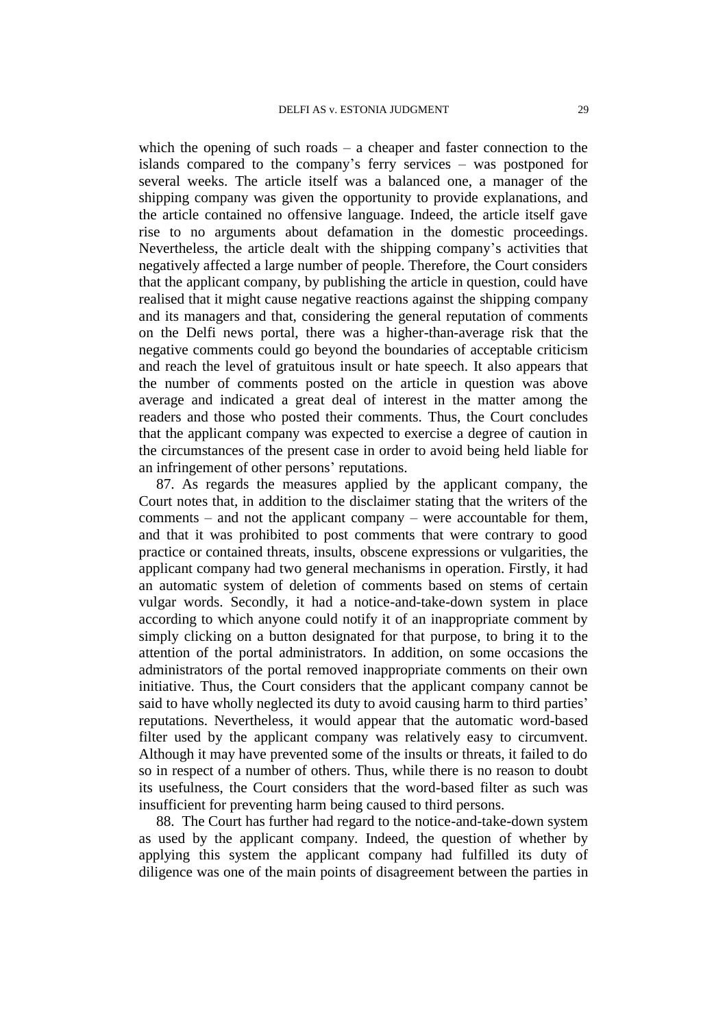which the opening of such roads  $-$  a cheaper and faster connection to the islands compared to the company's ferry services – was postponed for several weeks. The article itself was a balanced one, a manager of the shipping company was given the opportunity to provide explanations, and the article contained no offensive language. Indeed, the article itself gave rise to no arguments about defamation in the domestic proceedings. Nevertheless, the article dealt with the shipping company's activities that negatively affected a large number of people. Therefore, the Court considers that the applicant company, by publishing the article in question, could have realised that it might cause negative reactions against the shipping company and its managers and that, considering the general reputation of comments on the Delfi news portal, there was a higher-than-average risk that the negative comments could go beyond the boundaries of acceptable criticism and reach the level of gratuitous insult or hate speech. It also appears that the number of comments posted on the article in question was above average and indicated a great deal of interest in the matter among the readers and those who posted their comments. Thus, the Court concludes that the applicant company was expected to exercise a degree of caution in the circumstances of the present case in order to avoid being held liable for an infringement of other persons' reputations.

87. As regards the measures applied by the applicant company, the Court notes that, in addition to the disclaimer stating that the writers of the comments – and not the applicant company – were accountable for them, and that it was prohibited to post comments that were contrary to good practice or contained threats, insults, obscene expressions or vulgarities, the applicant company had two general mechanisms in operation. Firstly, it had an automatic system of deletion of comments based on stems of certain vulgar words. Secondly, it had a notice-and-take-down system in place according to which anyone could notify it of an inappropriate comment by simply clicking on a button designated for that purpose, to bring it to the attention of the portal administrators. In addition, on some occasions the administrators of the portal removed inappropriate comments on their own initiative. Thus, the Court considers that the applicant company cannot be said to have wholly neglected its duty to avoid causing harm to third parties' reputations. Nevertheless, it would appear that the automatic word-based filter used by the applicant company was relatively easy to circumvent. Although it may have prevented some of the insults or threats, it failed to do so in respect of a number of others. Thus, while there is no reason to doubt its usefulness, the Court considers that the word-based filter as such was insufficient for preventing harm being caused to third persons.

88. The Court has further had regard to the notice-and-take-down system as used by the applicant company. Indeed, the question of whether by applying this system the applicant company had fulfilled its duty of diligence was one of the main points of disagreement between the parties in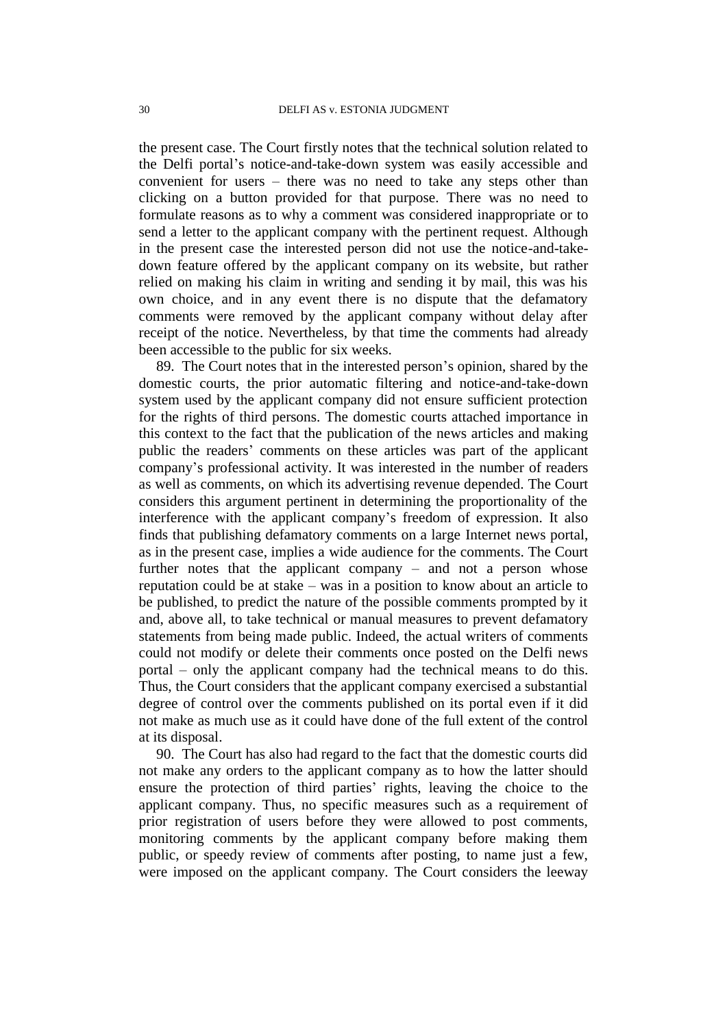the present case. The Court firstly notes that the technical solution related to the Delfi portal's notice-and-take-down system was easily accessible and convenient for users – there was no need to take any steps other than clicking on a button provided for that purpose. There was no need to formulate reasons as to why a comment was considered inappropriate or to send a letter to the applicant company with the pertinent request. Although in the present case the interested person did not use the notice-and-takedown feature offered by the applicant company on its website, but rather relied on making his claim in writing and sending it by mail, this was his own choice, and in any event there is no dispute that the defamatory comments were removed by the applicant company without delay after receipt of the notice. Nevertheless, by that time the comments had already been accessible to the public for six weeks.

89. The Court notes that in the interested person's opinion, shared by the domestic courts, the prior automatic filtering and notice-and-take-down system used by the applicant company did not ensure sufficient protection for the rights of third persons. The domestic courts attached importance in this context to the fact that the publication of the news articles and making public the readers' comments on these articles was part of the applicant company's professional activity. It was interested in the number of readers as well as comments, on which its advertising revenue depended. The Court considers this argument pertinent in determining the proportionality of the interference with the applicant company's freedom of expression. It also finds that publishing defamatory comments on a large Internet news portal, as in the present case, implies a wide audience for the comments. The Court further notes that the applicant company – and not a person whose reputation could be at stake – was in a position to know about an article to be published, to predict the nature of the possible comments prompted by it and, above all, to take technical or manual measures to prevent defamatory statements from being made public. Indeed, the actual writers of comments could not modify or delete their comments once posted on the Delfi news portal – only the applicant company had the technical means to do this. Thus, the Court considers that the applicant company exercised a substantial degree of control over the comments published on its portal even if it did not make as much use as it could have done of the full extent of the control at its disposal.

90. The Court has also had regard to the fact that the domestic courts did not make any orders to the applicant company as to how the latter should ensure the protection of third parties' rights, leaving the choice to the applicant company. Thus, no specific measures such as a requirement of prior registration of users before they were allowed to post comments, monitoring comments by the applicant company before making them public, or speedy review of comments after posting, to name just a few, were imposed on the applicant company. The Court considers the leeway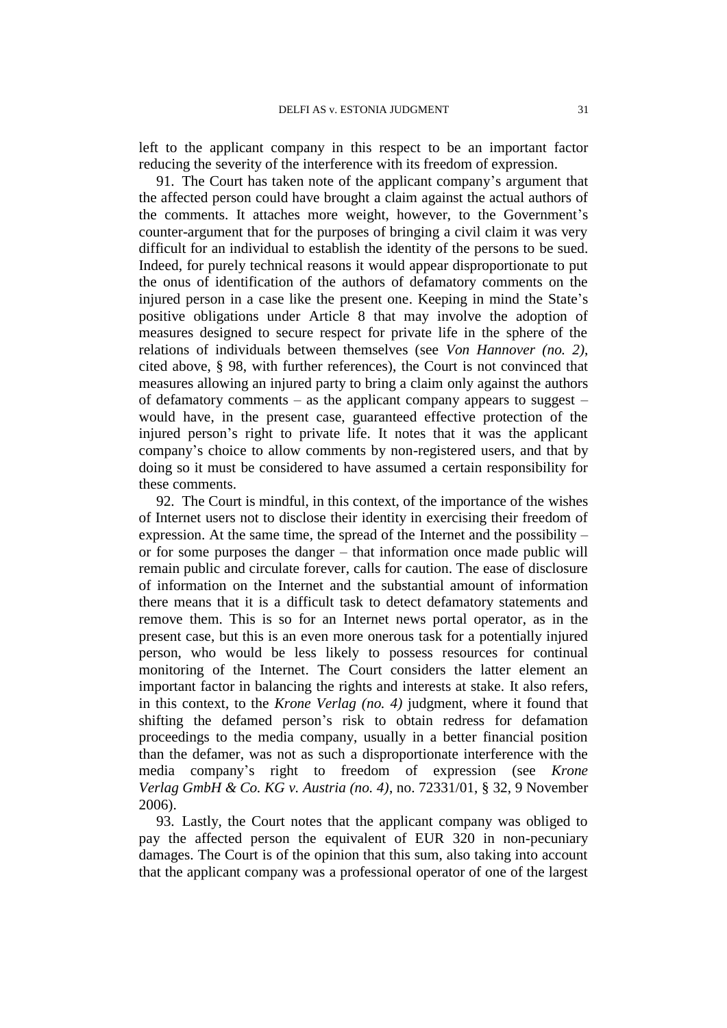left to the applicant company in this respect to be an important factor reducing the severity of the interference with its freedom of expression.

91. The Court has taken note of the applicant company's argument that the affected person could have brought a claim against the actual authors of the comments. It attaches more weight, however, to the Government's counter-argument that for the purposes of bringing a civil claim it was very difficult for an individual to establish the identity of the persons to be sued. Indeed, for purely technical reasons it would appear disproportionate to put the onus of identification of the authors of defamatory comments on the injured person in a case like the present one. Keeping in mind the State's positive obligations under Article 8 that may involve the adoption of measures designed to secure respect for private life in the sphere of the relations of individuals between themselves (see *Von Hannover (no. 2)*, cited above, § 98, with further references), the Court is not convinced that measures allowing an injured party to bring a claim only against the authors of defamatory comments – as the applicant company appears to suggest – would have, in the present case, guaranteed effective protection of the injured person's right to private life. It notes that it was the applicant company's choice to allow comments by non-registered users, and that by doing so it must be considered to have assumed a certain responsibility for these comments.

92. The Court is mindful, in this context, of the importance of the wishes of Internet users not to disclose their identity in exercising their freedom of expression. At the same time, the spread of the Internet and the possibility – or for some purposes the danger – that information once made public will remain public and circulate forever, calls for caution. The ease of disclosure of information on the Internet and the substantial amount of information there means that it is a difficult task to detect defamatory statements and remove them. This is so for an Internet news portal operator, as in the present case, but this is an even more onerous task for a potentially injured person, who would be less likely to possess resources for continual monitoring of the Internet. The Court considers the latter element an important factor in balancing the rights and interests at stake. It also refers, in this context, to the *Krone Verlag (no. 4)* judgment, where it found that shifting the defamed person's risk to obtain redress for defamation proceedings to the media company, usually in a better financial position than the defamer, was not as such a disproportionate interference with the media company's right to freedom of expression (see *Krone Verlag GmbH & Co. KG v. Austria (no. 4)*, no. 72331/01, § 32, 9 November 2006).

93. Lastly, the Court notes that the applicant company was obliged to pay the affected person the equivalent of EUR 320 in non-pecuniary damages. The Court is of the opinion that this sum, also taking into account that the applicant company was a professional operator of one of the largest